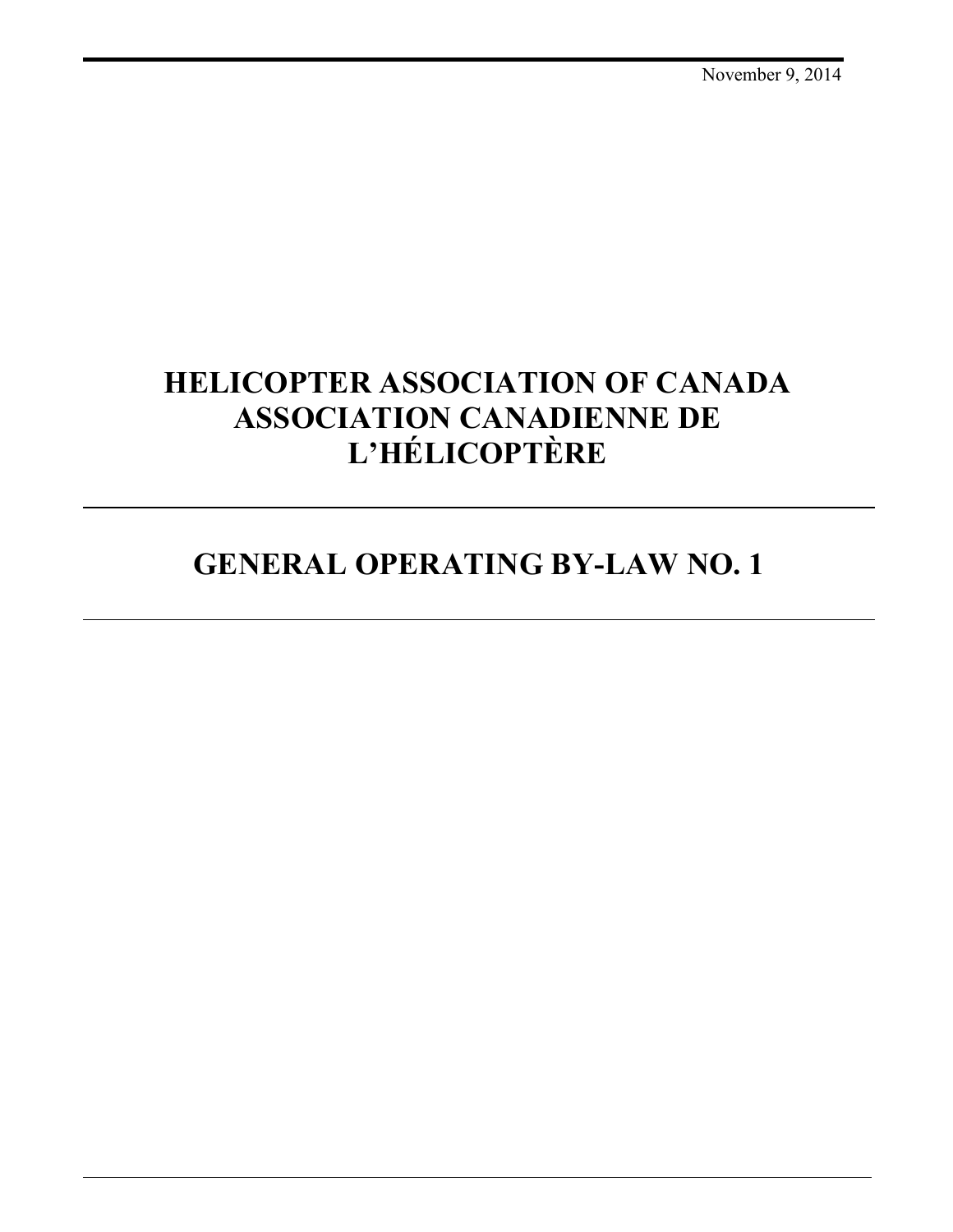# **HELICOPTER ASSOCIATION OF CANADA ASSOCIATION CANADIENNE DE L'HÉLICOPTÈRE**

# **GENERAL OPERATING BY-LAW NO. 1**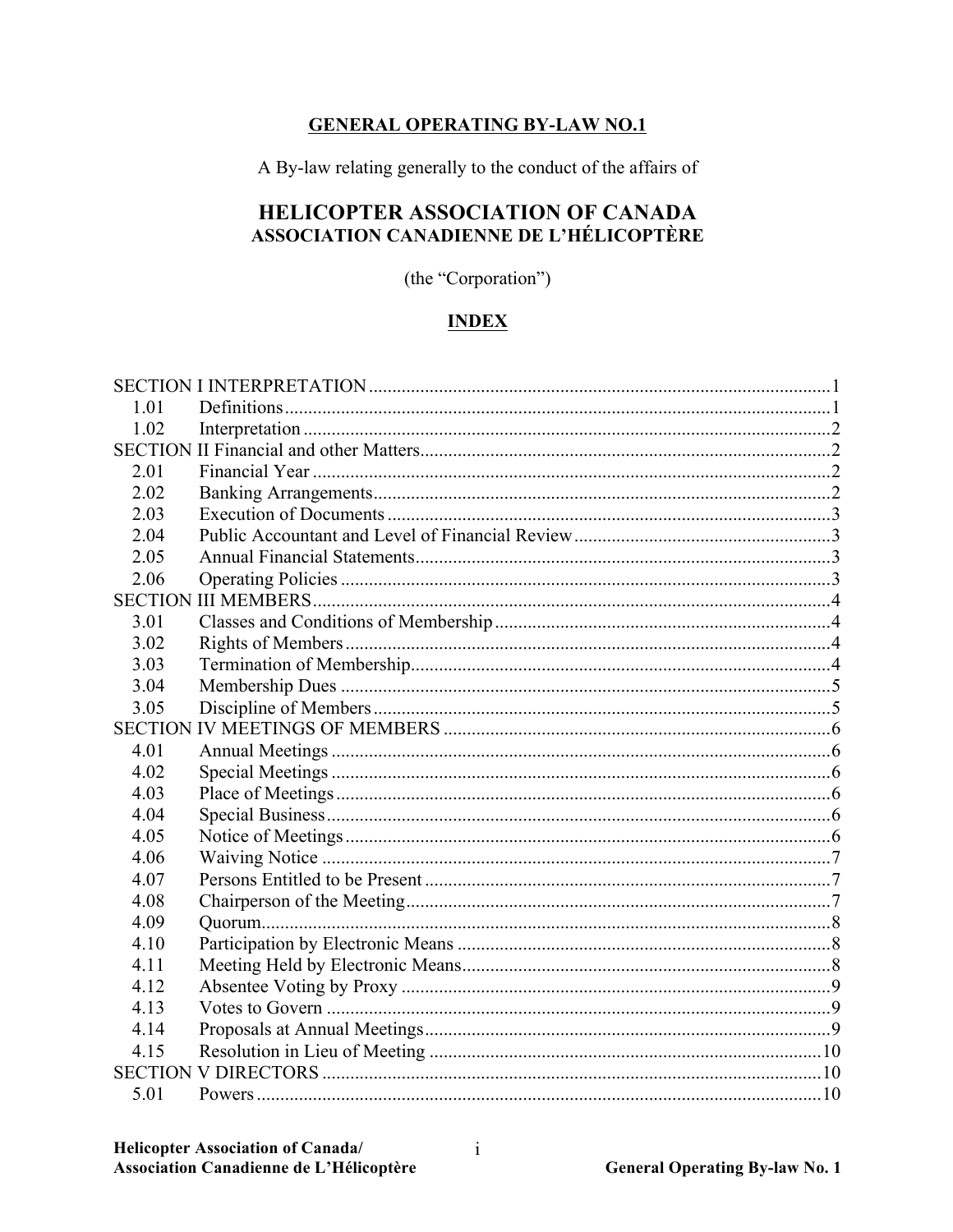## **GENERAL OPERATING BY-LAW NO.1**

A By-law relating generally to the conduct of the affairs of

# HELICOPTER ASSOCIATION OF CANADA ASSOCIATION CANADIENNE DE L'HÉLICOPTÈRE

(the "Corporation")

# **INDEX**

| 1 0 1 |  |
|-------|--|
| 1.02  |  |
|       |  |
| 2.01  |  |
| 2.02  |  |
| 2.03  |  |
| 2.04  |  |
| 2.05  |  |
| 2.06  |  |
|       |  |
| 3.01  |  |
| 3.02  |  |
| 3.03  |  |
| 3.04  |  |
| 3.05  |  |
|       |  |
| 4.01  |  |
| 4.02  |  |
| 4.03  |  |
| 4.04  |  |
| 4.05  |  |
| 4.06  |  |
| 4.07  |  |
| 4.08  |  |
| 4.09  |  |
| 4.10  |  |
| 4.11  |  |
| 4.12  |  |
| 4.13  |  |
| 4.14  |  |
| 4.15  |  |
|       |  |
| 5.01  |  |

 $\mathbf{i}$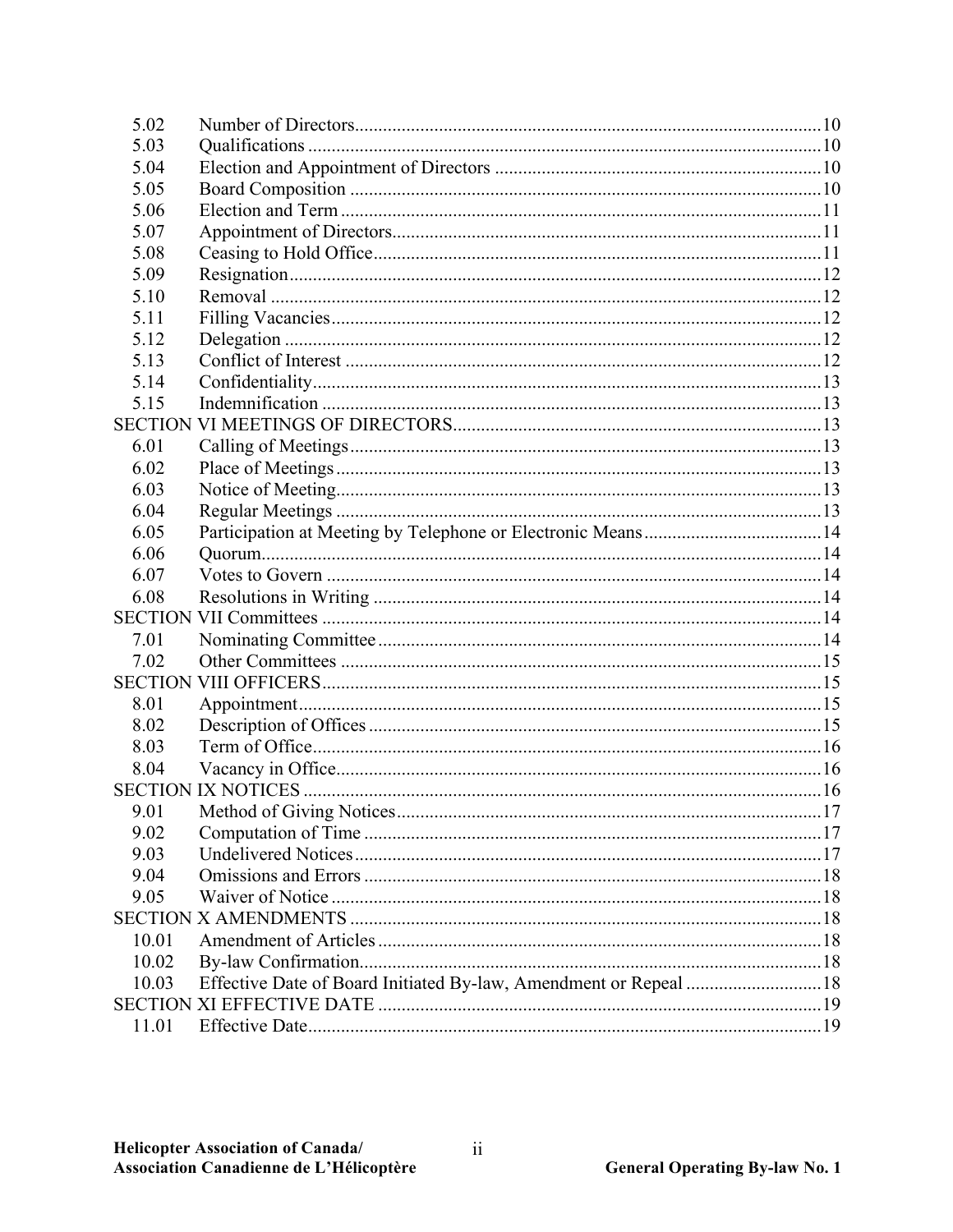| 5.02  |                                                                   |  |
|-------|-------------------------------------------------------------------|--|
| 5.03  |                                                                   |  |
| 5.04  |                                                                   |  |
| 5.05  |                                                                   |  |
| 5.06  |                                                                   |  |
| 5.07  |                                                                   |  |
| 5.08  |                                                                   |  |
| 5.09  |                                                                   |  |
| 5.10  |                                                                   |  |
| 5.11  |                                                                   |  |
| 5.12  |                                                                   |  |
| 5.13  |                                                                   |  |
| 5.14  |                                                                   |  |
| 5.15  |                                                                   |  |
|       |                                                                   |  |
| 6.01  |                                                                   |  |
| 6.02  |                                                                   |  |
| 6.03  |                                                                   |  |
| 6.04  |                                                                   |  |
| 6.05  |                                                                   |  |
| 6.06  |                                                                   |  |
| 6.07  |                                                                   |  |
| 6.08  |                                                                   |  |
|       |                                                                   |  |
| 7.01  |                                                                   |  |
| 7.02  |                                                                   |  |
|       |                                                                   |  |
| 8.01  |                                                                   |  |
| 8.02  |                                                                   |  |
| 8.03  |                                                                   |  |
| 8.04  |                                                                   |  |
|       |                                                                   |  |
| 9.01  |                                                                   |  |
| 9.02  |                                                                   |  |
| 9.03  |                                                                   |  |
| 9.04  |                                                                   |  |
| 9.05  |                                                                   |  |
|       |                                                                   |  |
| 10.01 |                                                                   |  |
| 10.02 |                                                                   |  |
| 10.03 | Effective Date of Board Initiated By-law, Amendment or Repeal  18 |  |
|       |                                                                   |  |
| 11.01 |                                                                   |  |
|       |                                                                   |  |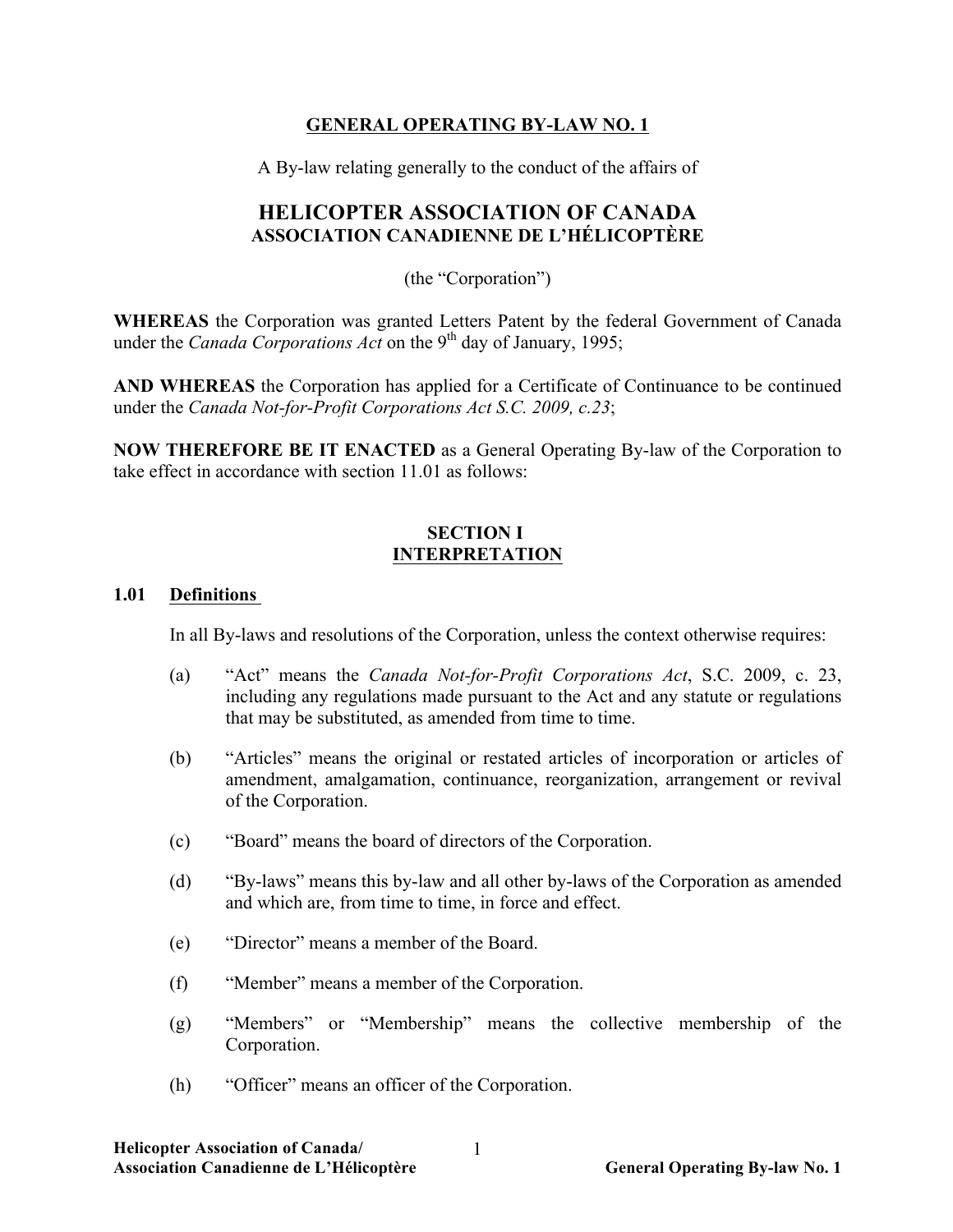## **GENERAL OPERATING BY-LAW NO. 1**

A By-law relating generally to the conduct of the affairs of

# **HELICOPTER ASSOCIATION OF CANADA ASSOCIATION CANADIENNE DE L'HÉLICOPTÈRE**

(the "Corporation")

**WHEREAS** the Corporation was granted Letters Patent by the federal Government of Canada under the *Canada Corporations Act* on the 9<sup>th</sup> day of January, 1995;

**AND WHEREAS** the Corporation has applied for a Certificate of Continuance to be continued under the *Canada Not-for-Profit Corporations Act S.C. 2009, c.23*;

**NOW THEREFORE BE IT ENACTED** as a General Operating By-law of the Corporation to take effect in accordance with section 11.01 as follows:

## **SECTION I INTERPRETATION**

## **1.01 Definitions**

In all By-laws and resolutions of the Corporation, unless the context otherwise requires:

- (a) "Act" means the *Canada Not-for-Profit Corporations Act*, S.C. 2009, c. 23, including any regulations made pursuant to the Act and any statute or regulations that may be substituted, as amended from time to time.
- (b) "Articles" means the original or restated articles of incorporation or articles of amendment, amalgamation, continuance, reorganization, arrangement or revival of the Corporation.
- (c) "Board" means the board of directors of the Corporation.
- (d) "By-laws" means this by-law and all other by-laws of the Corporation as amended and which are, from time to time, in force and effect.
- (e) "Director" means a member of the Board.
- (f) "Member" means a member of the Corporation.
- (g) "Members" or "Membership" means the collective membership of the Corporation.
- (h) "Officer" means an officer of the Corporation.

1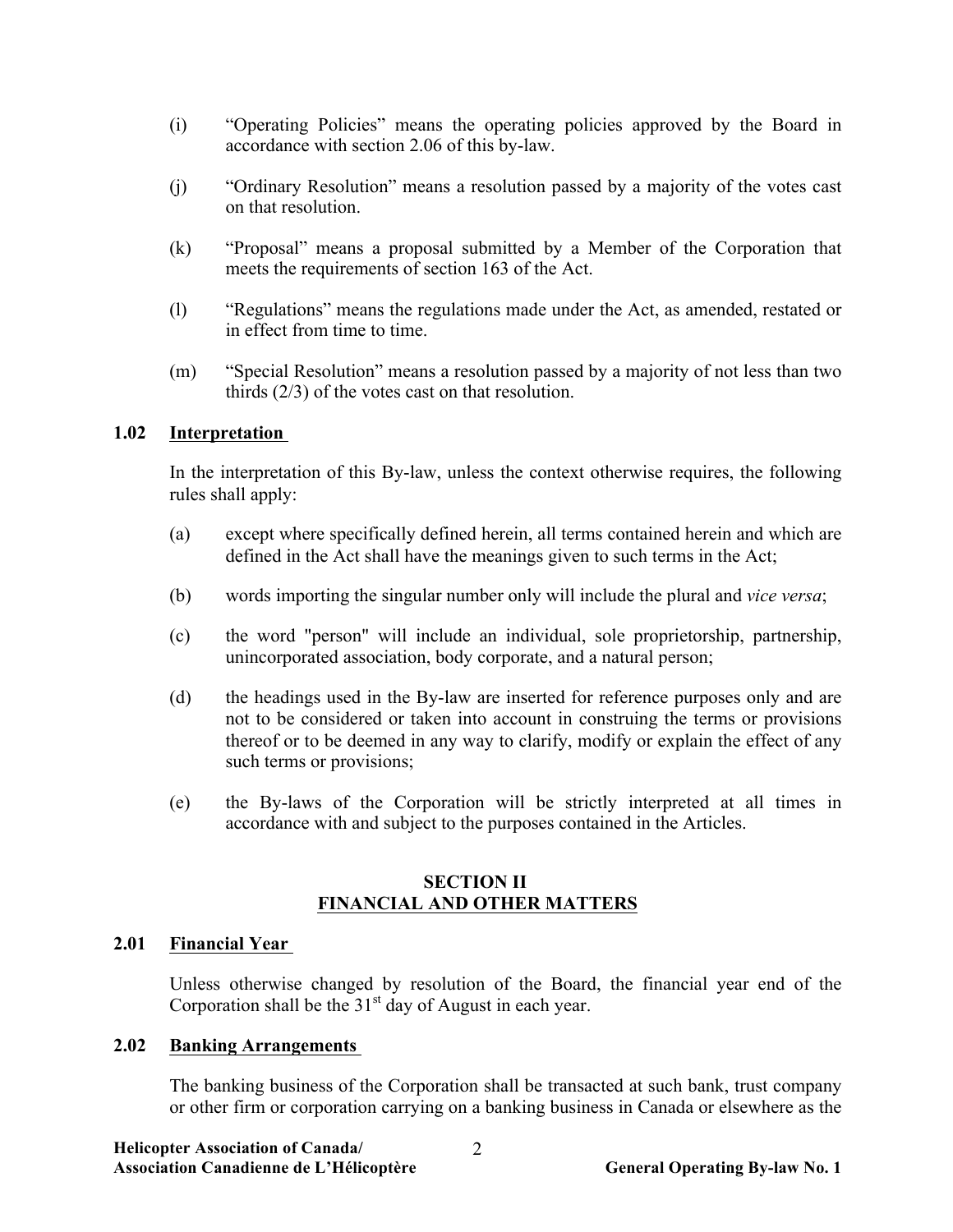- (i) "Operating Policies" means the operating policies approved by the Board in accordance with section 2.06 of this by-law.
- (j) "Ordinary Resolution" means a resolution passed by a majority of the votes cast on that resolution.
- (k) "Proposal" means a proposal submitted by a Member of the Corporation that meets the requirements of section 163 of the Act.
- (l) "Regulations" means the regulations made under the Act, as amended, restated or in effect from time to time.
- (m) "Special Resolution" means a resolution passed by a majority of not less than two thirds (2/3) of the votes cast on that resolution.

## **1.02 Interpretation**

In the interpretation of this By-law, unless the context otherwise requires, the following rules shall apply:

- (a) except where specifically defined herein, all terms contained herein and which are defined in the Act shall have the meanings given to such terms in the Act;
- (b) words importing the singular number only will include the plural and *vice versa*;
- (c) the word "person" will include an individual, sole proprietorship, partnership, unincorporated association, body corporate, and a natural person;
- (d) the headings used in the By-law are inserted for reference purposes only and are not to be considered or taken into account in construing the terms or provisions thereof or to be deemed in any way to clarify, modify or explain the effect of any such terms or provisions;
- (e) the By-laws of the Corporation will be strictly interpreted at all times in accordance with and subject to the purposes contained in the Articles.

## **SECTION II FINANCIAL AND OTHER MATTERS**

## **2.01 Financial Year**

Unless otherwise changed by resolution of the Board, the financial year end of the Corporation shall be the  $31<sup>st</sup>$  day of August in each year.

## **2.02 Banking Arrangements**

The banking business of the Corporation shall be transacted at such bank, trust company or other firm or corporation carrying on a banking business in Canada or elsewhere as the

2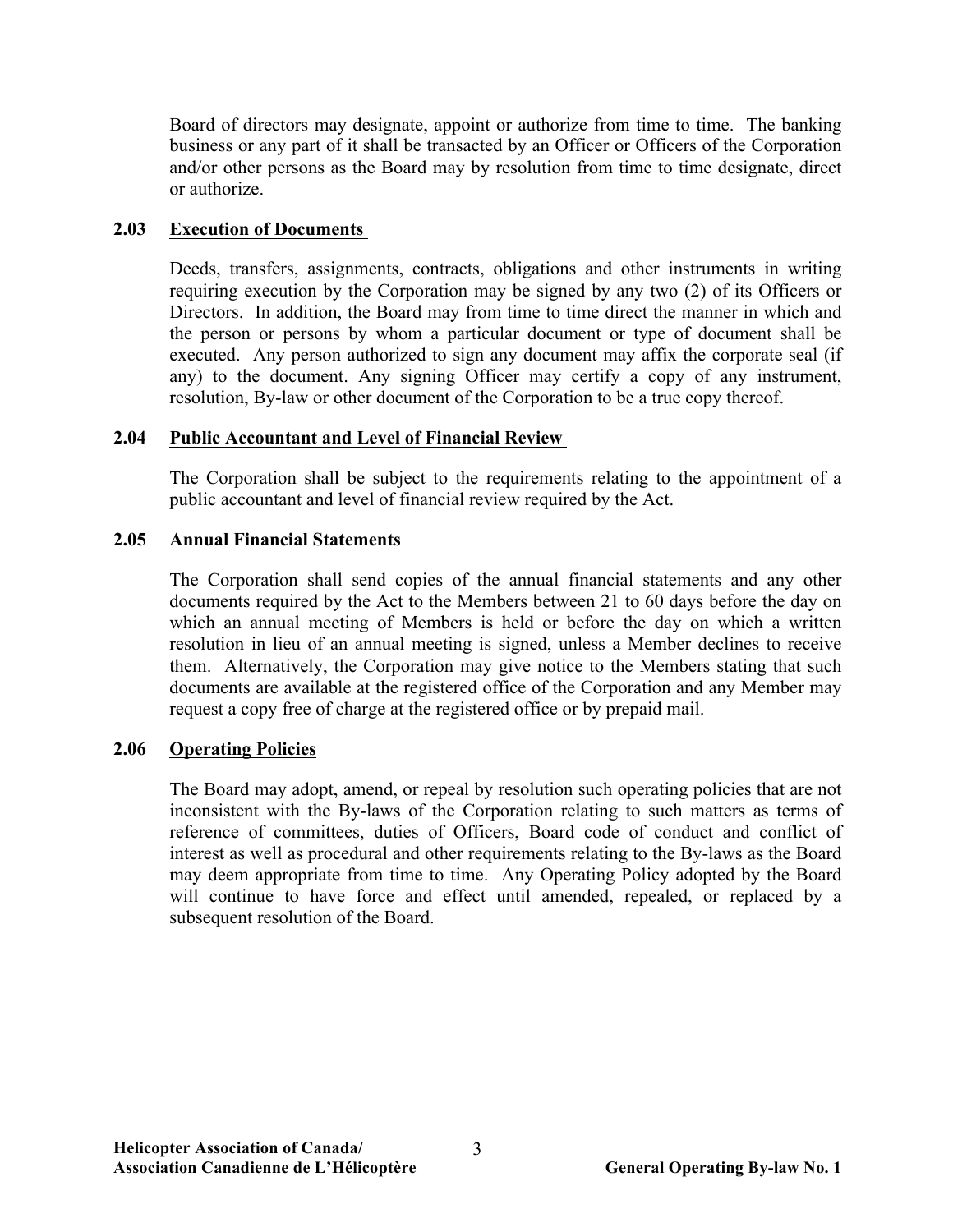Board of directors may designate, appoint or authorize from time to time. The banking business or any part of it shall be transacted by an Officer or Officers of the Corporation and/or other persons as the Board may by resolution from time to time designate, direct or authorize.

#### **2.03 Execution of Documents**

Deeds, transfers, assignments, contracts, obligations and other instruments in writing requiring execution by the Corporation may be signed by any two (2) of its Officers or Directors. In addition, the Board may from time to time direct the manner in which and the person or persons by whom a particular document or type of document shall be executed. Any person authorized to sign any document may affix the corporate seal (if any) to the document. Any signing Officer may certify a copy of any instrument, resolution, By-law or other document of the Corporation to be a true copy thereof.

## **2.04 Public Accountant and Level of Financial Review**

The Corporation shall be subject to the requirements relating to the appointment of a public accountant and level of financial review required by the Act.

## **2.05 Annual Financial Statements**

The Corporation shall send copies of the annual financial statements and any other documents required by the Act to the Members between 21 to 60 days before the day on which an annual meeting of Members is held or before the day on which a written resolution in lieu of an annual meeting is signed, unless a Member declines to receive them. Alternatively, the Corporation may give notice to the Members stating that such documents are available at the registered office of the Corporation and any Member may request a copy free of charge at the registered office or by prepaid mail.

## **2.06 Operating Policies**

The Board may adopt, amend, or repeal by resolution such operating policies that are not inconsistent with the By-laws of the Corporation relating to such matters as terms of reference of committees, duties of Officers, Board code of conduct and conflict of interest as well as procedural and other requirements relating to the By-laws as the Board may deem appropriate from time to time. Any Operating Policy adopted by the Board will continue to have force and effect until amended, repealed, or replaced by a subsequent resolution of the Board.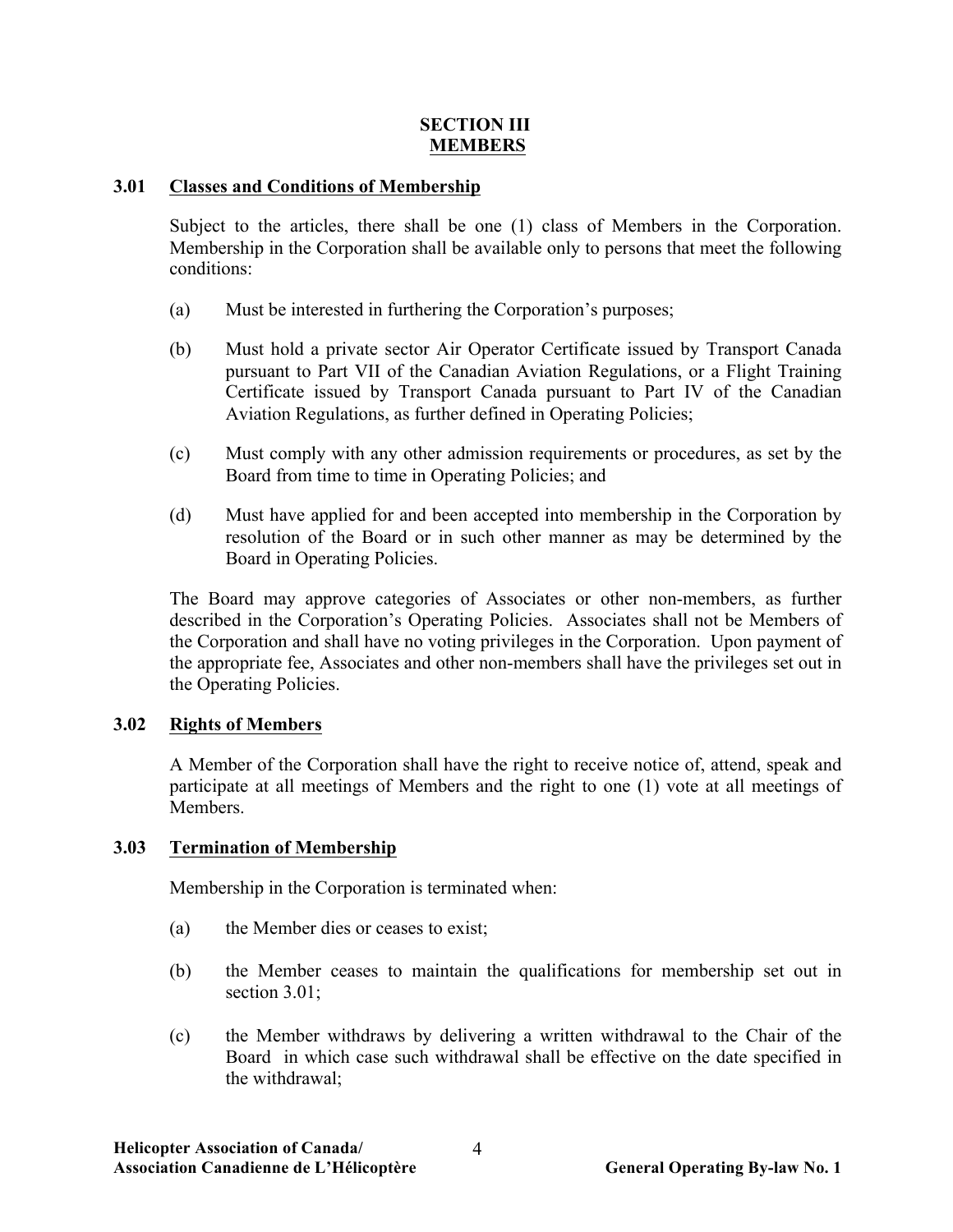## **SECTION III MEMBERS**

## **3.01 Classes and Conditions of Membership**

Subject to the articles, there shall be one (1) class of Members in the Corporation. Membership in the Corporation shall be available only to persons that meet the following conditions:

- (a) Must be interested in furthering the Corporation's purposes;
- (b) Must hold a private sector Air Operator Certificate issued by Transport Canada pursuant to Part VII of the Canadian Aviation Regulations, or a Flight Training Certificate issued by Transport Canada pursuant to Part IV of the Canadian Aviation Regulations, as further defined in Operating Policies;
- (c) Must comply with any other admission requirements or procedures, as set by the Board from time to time in Operating Policies; and
- (d) Must have applied for and been accepted into membership in the Corporation by resolution of the Board or in such other manner as may be determined by the Board in Operating Policies.

The Board may approve categories of Associates or other non-members, as further described in the Corporation's Operating Policies. Associates shall not be Members of the Corporation and shall have no voting privileges in the Corporation. Upon payment of the appropriate fee, Associates and other non-members shall have the privileges set out in the Operating Policies.

## **3.02 Rights of Members**

A Member of the Corporation shall have the right to receive notice of, attend, speak and participate at all meetings of Members and the right to one (1) vote at all meetings of Members.

## **3.03 Termination of Membership**

Membership in the Corporation is terminated when:

- (a) the Member dies or ceases to exist;
- (b) the Member ceases to maintain the qualifications for membership set out in section 3.01;
- (c) the Member withdraws by delivering a written withdrawal to the Chair of the Board in which case such withdrawal shall be effective on the date specified in the withdrawal;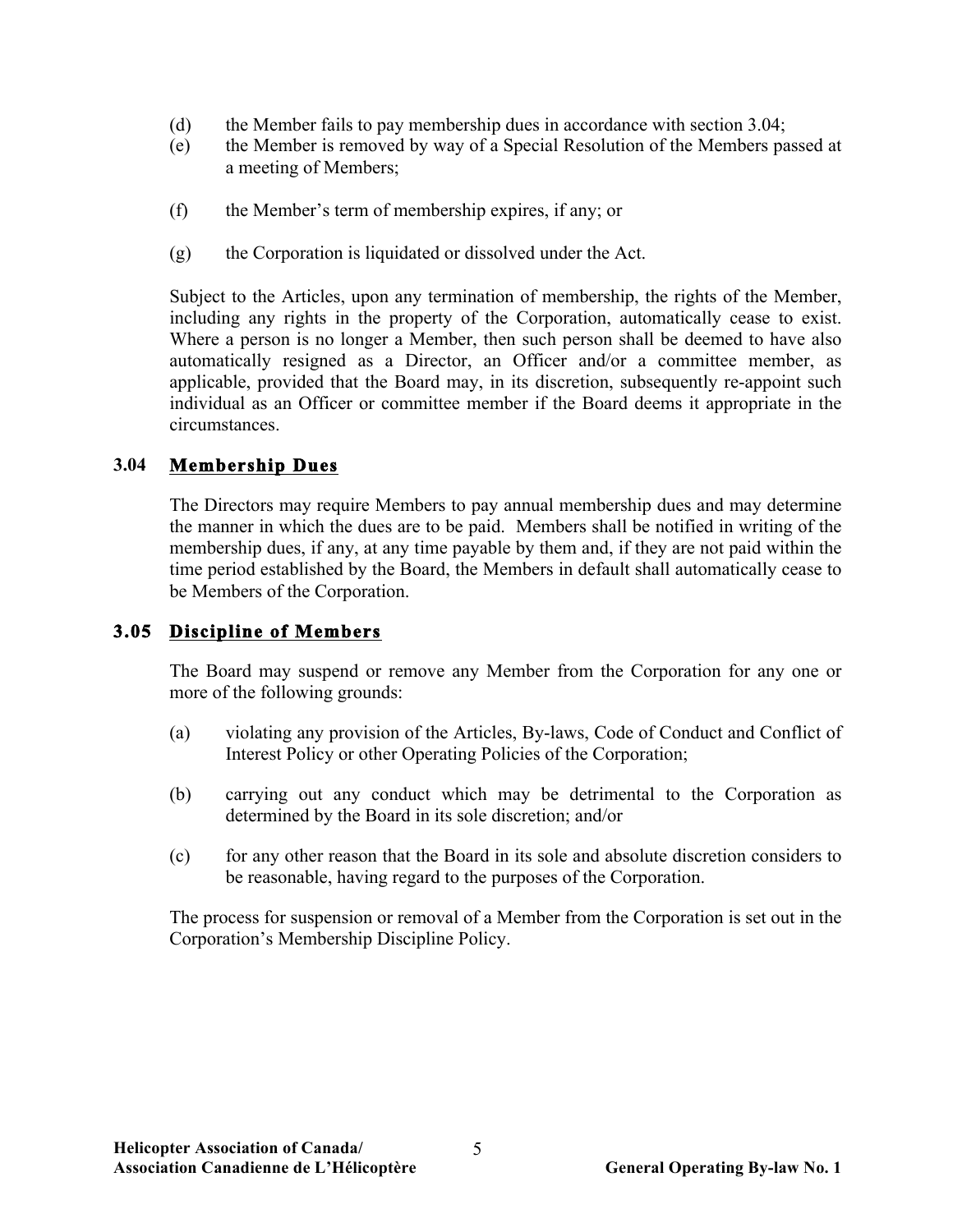- (d) the Member fails to pay membership dues in accordance with section 3.04;
- (e) the Member is removed by way of a Special Resolution of the Members passed at a meeting of Members;
- (f) the Member's term of membership expires, if any; or
- (g) the Corporation is liquidated or dissolved under the Act.

Subject to the Articles, upon any termination of membership, the rights of the Member, including any rights in the property of the Corporation, automatically cease to exist. Where a person is no longer a Member, then such person shall be deemed to have also automatically resigned as a Director, an Officer and/or a committee member, as applicable, provided that the Board may, in its discretion, subsequently re-appoint such individual as an Officer or committee member if the Board deems it appropriate in the circumstances.

## **3.04 Membership Dues**

The Directors may require Members to pay annual membership dues and may determine the manner in which the dues are to be paid. Members shall be notified in writing of the membership dues, if any, at any time payable by them and, if they are not paid within the time period established by the Board, the Members in default shall automatically cease to be Members of the Corporation.

## **3.05 Discipline of Members**

The Board may suspend or remove any Member from the Corporation for any one or more of the following grounds:

- (a) violating any provision of the Articles, By-laws, Code of Conduct and Conflict of Interest Policy or other Operating Policies of the Corporation;
- (b) carrying out any conduct which may be detrimental to the Corporation as determined by the Board in its sole discretion; and/or
- (c) for any other reason that the Board in its sole and absolute discretion considers to be reasonable, having regard to the purposes of the Corporation.

The process for suspension or removal of a Member from the Corporation is set out in the Corporation's Membership Discipline Policy.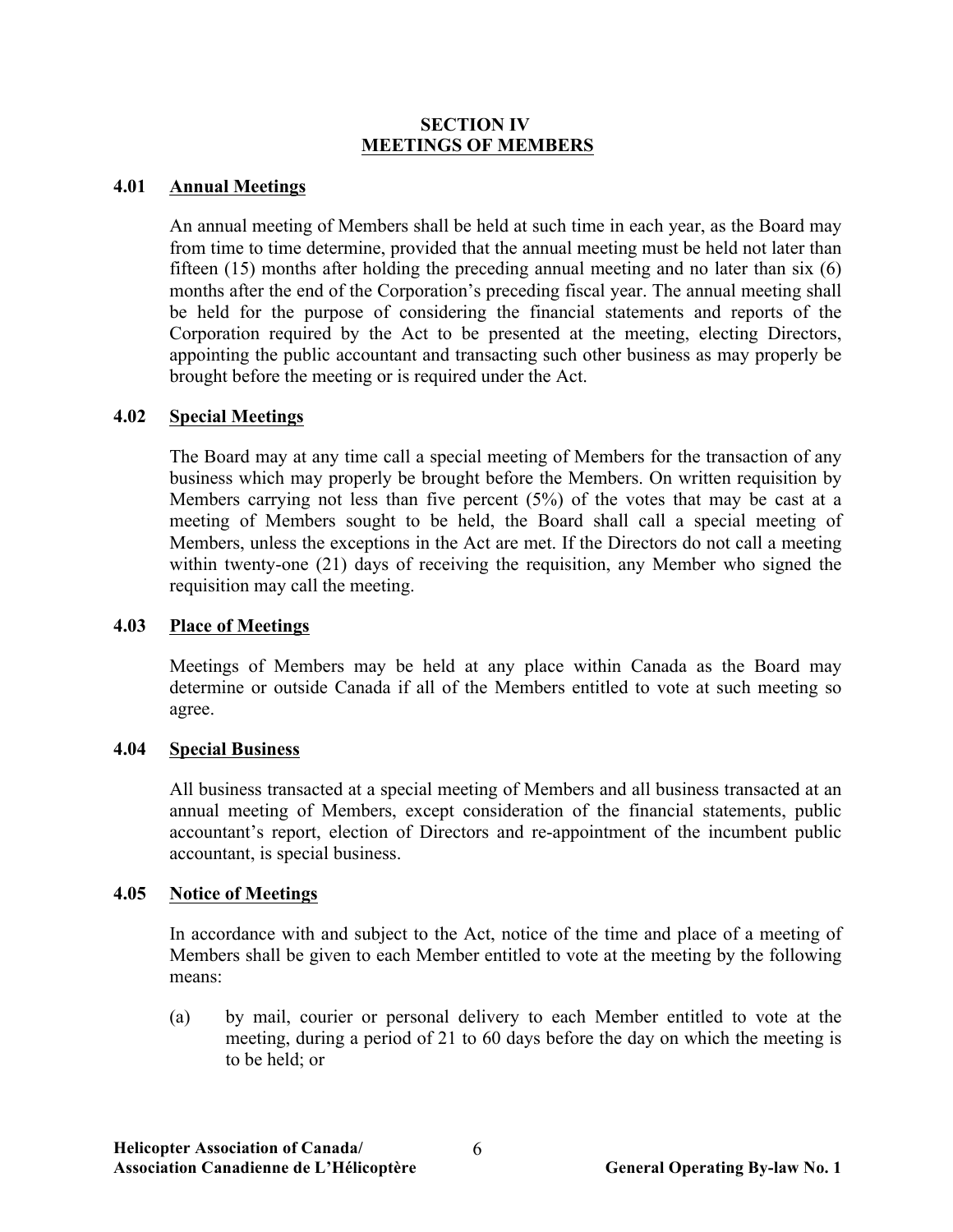#### **SECTION IV MEETINGS OF MEMBERS**

#### **4.01 Annual Meetings**

An annual meeting of Members shall be held at such time in each year, as the Board may from time to time determine, provided that the annual meeting must be held not later than fifteen (15) months after holding the preceding annual meeting and no later than six (6) months after the end of the Corporation's preceding fiscal year. The annual meeting shall be held for the purpose of considering the financial statements and reports of the Corporation required by the Act to be presented at the meeting, electing Directors, appointing the public accountant and transacting such other business as may properly be brought before the meeting or is required under the Act.

#### **4.02 Special Meetings**

The Board may at any time call a special meeting of Members for the transaction of any business which may properly be brought before the Members. On written requisition by Members carrying not less than five percent (5%) of the votes that may be cast at a meeting of Members sought to be held, the Board shall call a special meeting of Members, unless the exceptions in the Act are met. If the Directors do not call a meeting within twenty-one (21) days of receiving the requisition, any Member who signed the requisition may call the meeting.

#### **4.03 Place of Meetings**

Meetings of Members may be held at any place within Canada as the Board may determine or outside Canada if all of the Members entitled to vote at such meeting so agree.

#### **4.04 Special Business**

All business transacted at a special meeting of Members and all business transacted at an annual meeting of Members, except consideration of the financial statements, public accountant's report, election of Directors and re-appointment of the incumbent public accountant, is special business.

#### **4.05 Notice of Meetings**

In accordance with and subject to the Act, notice of the time and place of a meeting of Members shall be given to each Member entitled to vote at the meeting by the following means:

(a) by mail, courier or personal delivery to each Member entitled to vote at the meeting, during a period of 21 to 60 days before the day on which the meeting is to be held; or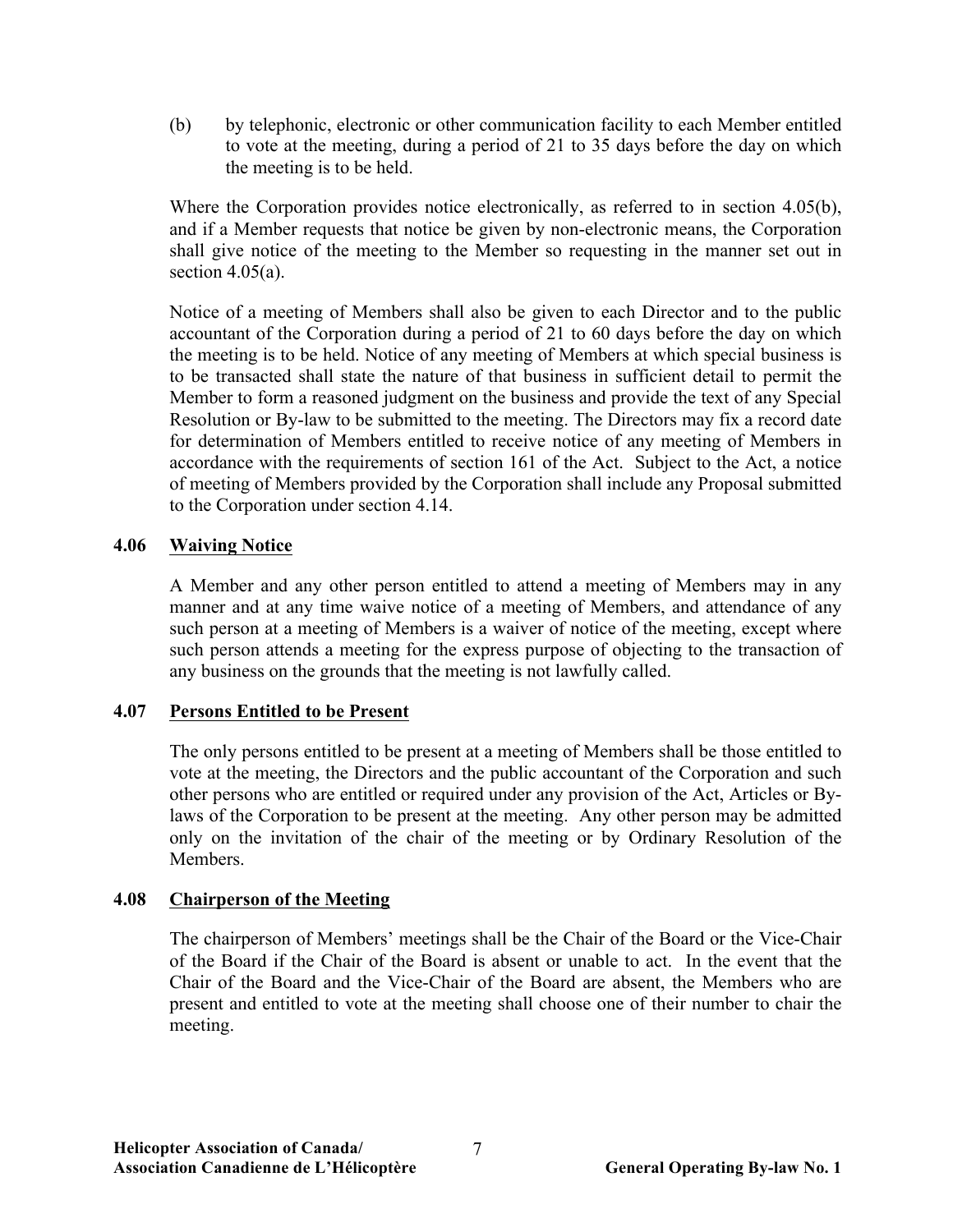(b) by telephonic, electronic or other communication facility to each Member entitled to vote at the meeting, during a period of 21 to 35 days before the day on which the meeting is to be held.

Where the Corporation provides notice electronically, as referred to in section 4.05(b), and if a Member requests that notice be given by non-electronic means, the Corporation shall give notice of the meeting to the Member so requesting in the manner set out in section  $4.05(a)$ .

Notice of a meeting of Members shall also be given to each Director and to the public accountant of the Corporation during a period of 21 to 60 days before the day on which the meeting is to be held. Notice of any meeting of Members at which special business is to be transacted shall state the nature of that business in sufficient detail to permit the Member to form a reasoned judgment on the business and provide the text of any Special Resolution or By-law to be submitted to the meeting. The Directors may fix a record date for determination of Members entitled to receive notice of any meeting of Members in accordance with the requirements of section 161 of the Act. Subject to the Act, a notice of meeting of Members provided by the Corporation shall include any Proposal submitted to the Corporation under section 4.14.

## **4.06 Waiving Notice**

A Member and any other person entitled to attend a meeting of Members may in any manner and at any time waive notice of a meeting of Members, and attendance of any such person at a meeting of Members is a waiver of notice of the meeting, except where such person attends a meeting for the express purpose of objecting to the transaction of any business on the grounds that the meeting is not lawfully called.

#### **4.07 Persons Entitled to be Present**

The only persons entitled to be present at a meeting of Members shall be those entitled to vote at the meeting, the Directors and the public accountant of the Corporation and such other persons who are entitled or required under any provision of the Act, Articles or Bylaws of the Corporation to be present at the meeting. Any other person may be admitted only on the invitation of the chair of the meeting or by Ordinary Resolution of the **Members** 

#### **4.08 Chairperson of the Meeting**

The chairperson of Members' meetings shall be the Chair of the Board or the Vice-Chair of the Board if the Chair of the Board is absent or unable to act. In the event that the Chair of the Board and the Vice-Chair of the Board are absent, the Members who are present and entitled to vote at the meeting shall choose one of their number to chair the meeting.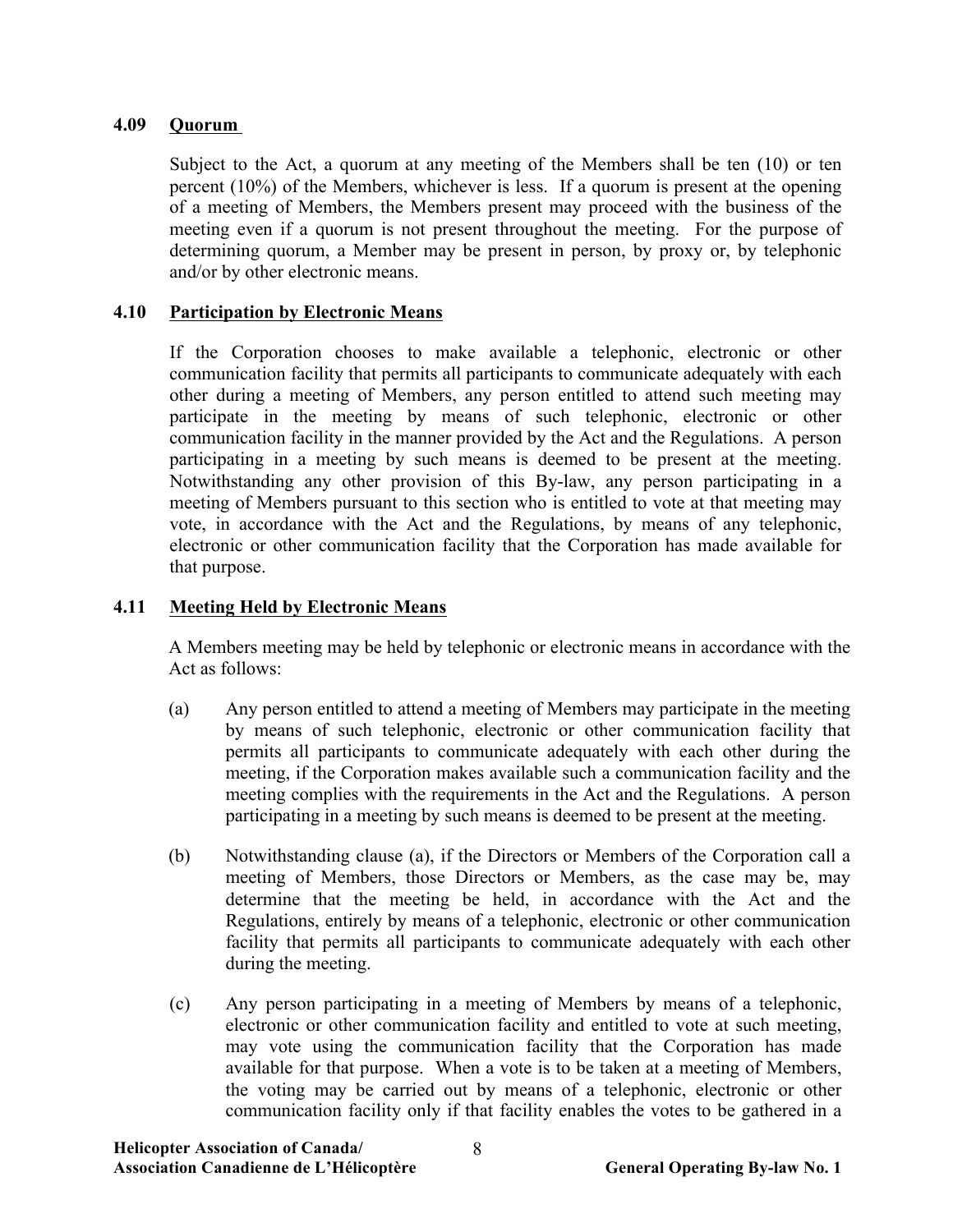## **4.09 Quorum**

Subject to the Act, a quorum at any meeting of the Members shall be ten (10) or ten percent (10%) of the Members, whichever is less. If a quorum is present at the opening of a meeting of Members, the Members present may proceed with the business of the meeting even if a quorum is not present throughout the meeting. For the purpose of determining quorum, a Member may be present in person, by proxy or, by telephonic and/or by other electronic means.

## **4.10 Participation by Electronic Means**

If the Corporation chooses to make available a telephonic, electronic or other communication facility that permits all participants to communicate adequately with each other during a meeting of Members, any person entitled to attend such meeting may participate in the meeting by means of such telephonic, electronic or other communication facility in the manner provided by the Act and the Regulations. A person participating in a meeting by such means is deemed to be present at the meeting. Notwithstanding any other provision of this By-law, any person participating in a meeting of Members pursuant to this section who is entitled to vote at that meeting may vote, in accordance with the Act and the Regulations, by means of any telephonic, electronic or other communication facility that the Corporation has made available for that purpose.

## **4.11 Meeting Held by Electronic Means**

A Members meeting may be held by telephonic or electronic means in accordance with the Act as follows:

- (a) Any person entitled to attend a meeting of Members may participate in the meeting by means of such telephonic, electronic or other communication facility that permits all participants to communicate adequately with each other during the meeting, if the Corporation makes available such a communication facility and the meeting complies with the requirements in the Act and the Regulations. A person participating in a meeting by such means is deemed to be present at the meeting.
- (b) Notwithstanding clause (a), if the Directors or Members of the Corporation call a meeting of Members, those Directors or Members, as the case may be, may determine that the meeting be held, in accordance with the Act and the Regulations, entirely by means of a telephonic, electronic or other communication facility that permits all participants to communicate adequately with each other during the meeting.
- (c) Any person participating in a meeting of Members by means of a telephonic, electronic or other communication facility and entitled to vote at such meeting, may vote using the communication facility that the Corporation has made available for that purpose. When a vote is to be taken at a meeting of Members, the voting may be carried out by means of a telephonic, electronic or other communication facility only if that facility enables the votes to be gathered in a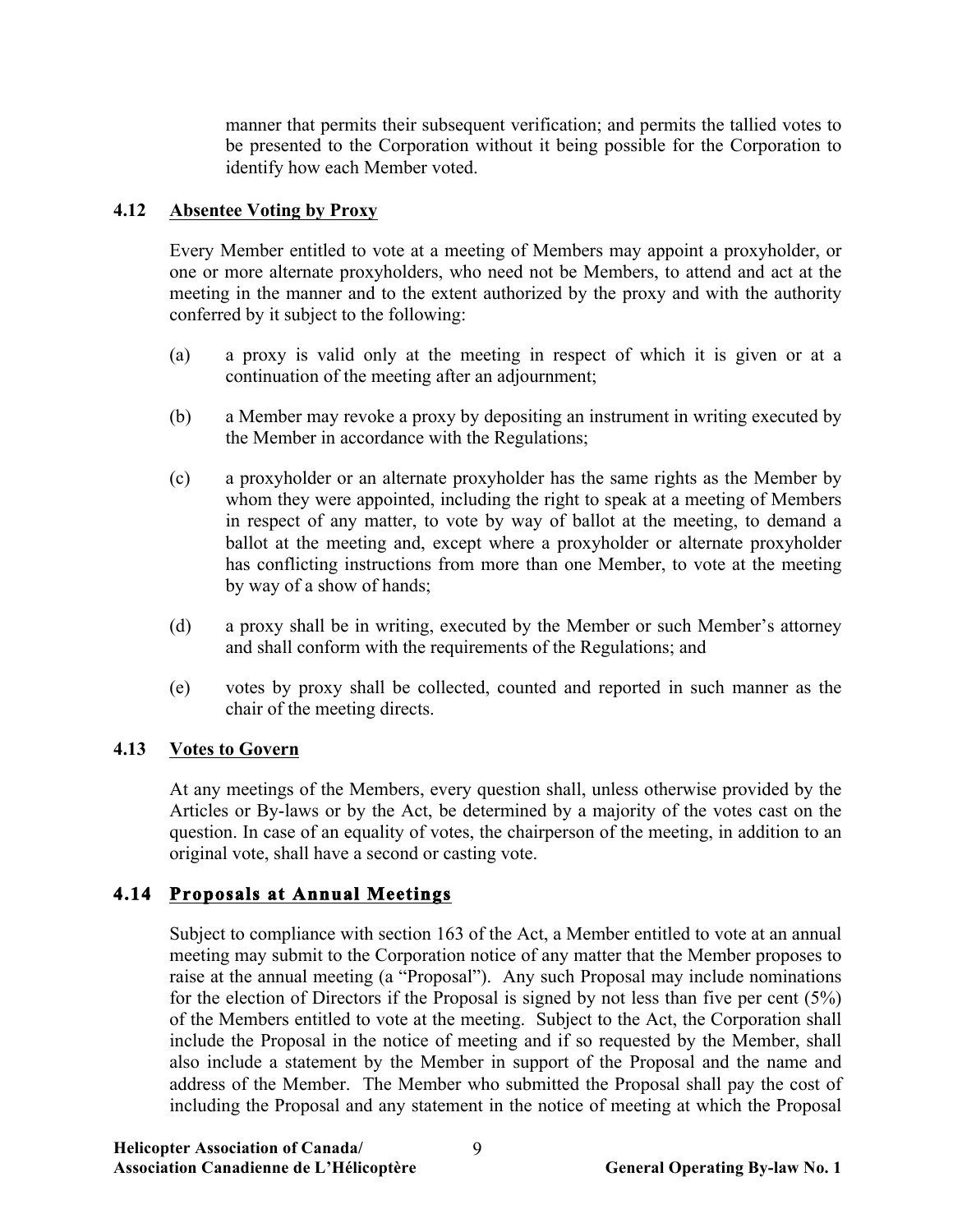manner that permits their subsequent verification; and permits the tallied votes to be presented to the Corporation without it being possible for the Corporation to identify how each Member voted.

## **4.12 Absentee Voting by Proxy**

Every Member entitled to vote at a meeting of Members may appoint a proxyholder, or one or more alternate proxyholders, who need not be Members, to attend and act at the meeting in the manner and to the extent authorized by the proxy and with the authority conferred by it subject to the following:

- (a) a proxy is valid only at the meeting in respect of which it is given or at a continuation of the meeting after an adjournment;
- (b) a Member may revoke a proxy by depositing an instrument in writing executed by the Member in accordance with the Regulations;
- (c) a proxyholder or an alternate proxyholder has the same rights as the Member by whom they were appointed, including the right to speak at a meeting of Members in respect of any matter, to vote by way of ballot at the meeting, to demand a ballot at the meeting and, except where a proxyholder or alternate proxyholder has conflicting instructions from more than one Member, to vote at the meeting by way of a show of hands;
- (d) a proxy shall be in writing, executed by the Member or such Member's attorney and shall conform with the requirements of the Regulations; and
- (e) votes by proxy shall be collected, counted and reported in such manner as the chair of the meeting directs.

## **4.13 Votes to Govern**

At any meetings of the Members, every question shall, unless otherwise provided by the Articles or By-laws or by the Act, be determined by a majority of the votes cast on the question. In case of an equality of votes, the chairperson of the meeting, in addition to an original vote, shall have a second or casting vote.

# **4.14 Proposals at Annual Meetings**

Subject to compliance with section 163 of the Act, a Member entitled to vote at an annual meeting may submit to the Corporation notice of any matter that the Member proposes to raise at the annual meeting (a "Proposal"). Any such Proposal may include nominations for the election of Directors if the Proposal is signed by not less than five per cent (5%) of the Members entitled to vote at the meeting. Subject to the Act, the Corporation shall include the Proposal in the notice of meeting and if so requested by the Member, shall also include a statement by the Member in support of the Proposal and the name and address of the Member. The Member who submitted the Proposal shall pay the cost of including the Proposal and any statement in the notice of meeting at which the Proposal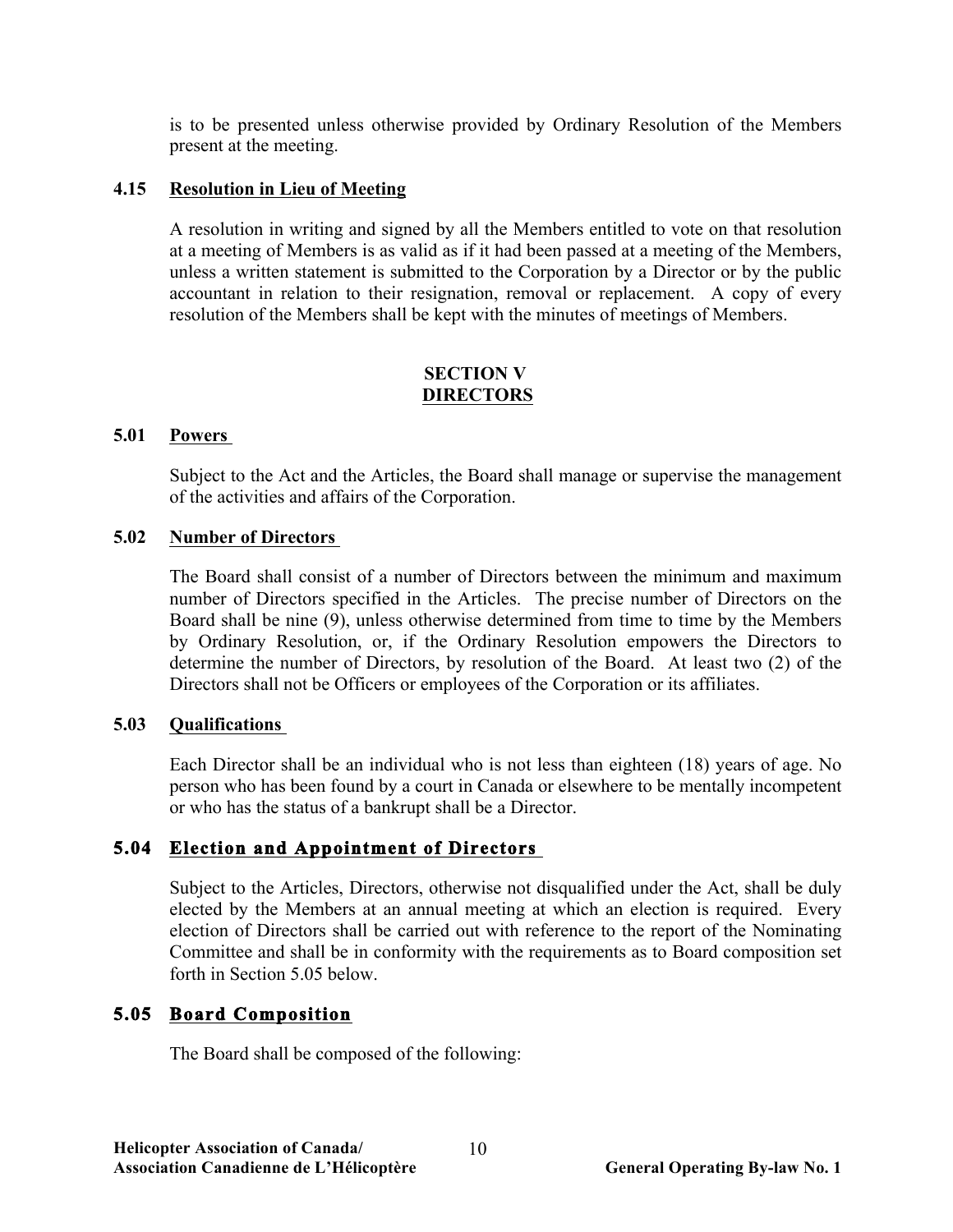is to be presented unless otherwise provided by Ordinary Resolution of the Members present at the meeting.

## **4.15 Resolution in Lieu of Meeting**

A resolution in writing and signed by all the Members entitled to vote on that resolution at a meeting of Members is as valid as if it had been passed at a meeting of the Members, unless a written statement is submitted to the Corporation by a Director or by the public accountant in relation to their resignation, removal or replacement. A copy of every resolution of the Members shall be kept with the minutes of meetings of Members.

## **SECTION V DIRECTORS**

#### **5.01 Powers**

Subject to the Act and the Articles, the Board shall manage or supervise the management of the activities and affairs of the Corporation.

#### **5.02 Number of Directors**

The Board shall consist of a number of Directors between the minimum and maximum number of Directors specified in the Articles. The precise number of Directors on the Board shall be nine (9), unless otherwise determined from time to time by the Members by Ordinary Resolution, or, if the Ordinary Resolution empowers the Directors to determine the number of Directors, by resolution of the Board. At least two (2) of the Directors shall not be Officers or employees of the Corporation or its affiliates.

#### **5.03 Qualifications**

Each Director shall be an individual who is not less than eighteen (18) years of age. No person who has been found by a court in Canada or elsewhere to be mentally incompetent or who has the status of a bankrupt shall be a Director.

## **5.04 Election and Appointment of Directors**

Subject to the Articles, Directors, otherwise not disqualified under the Act, shall be duly elected by the Members at an annual meeting at which an election is required. Every election of Directors shall be carried out with reference to the report of the Nominating Committee and shall be in conformity with the requirements as to Board composition set forth in Section 5.05 below.

## **5.05 Board Composition**

The Board shall be composed of the following: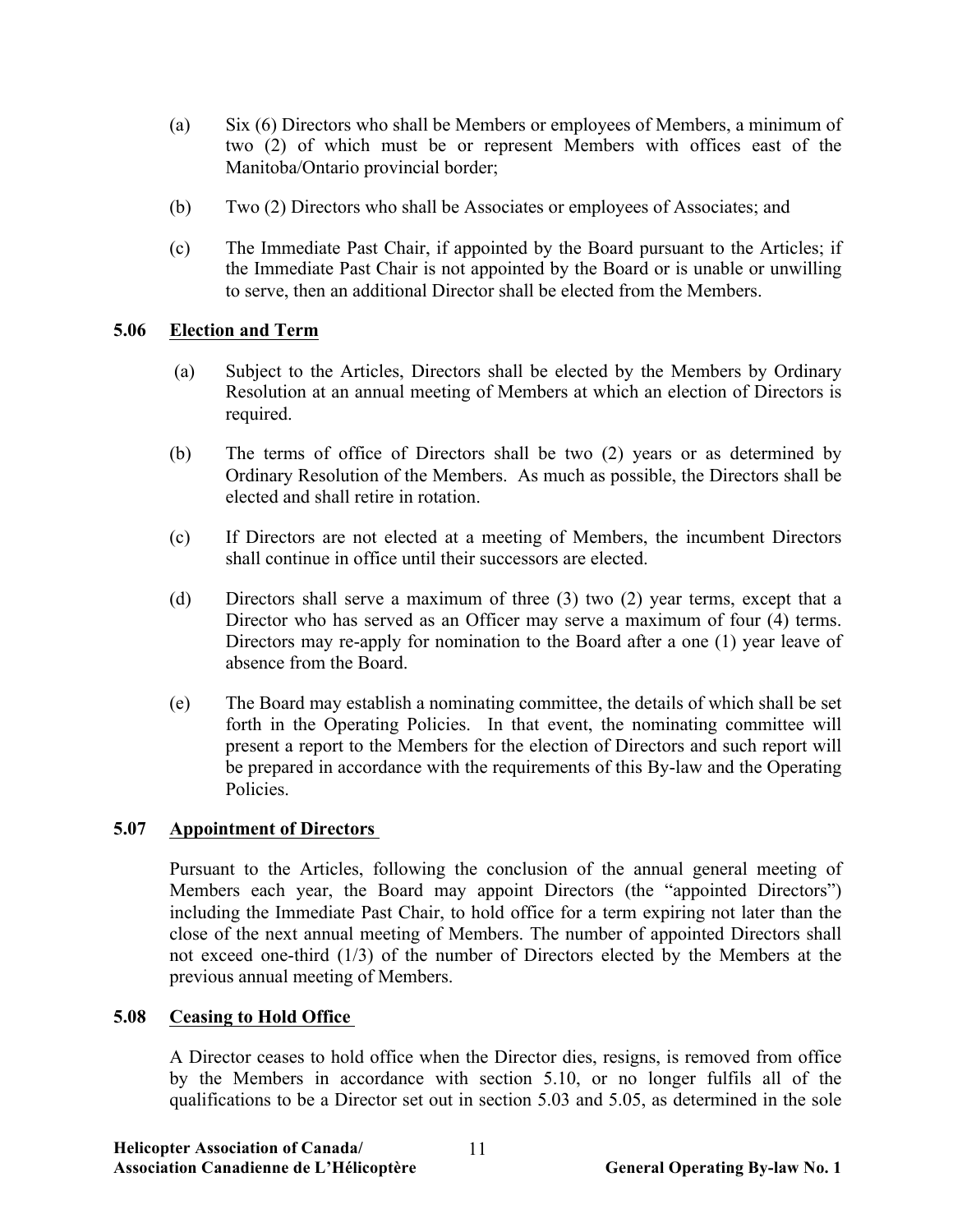- (a) Six (6) Directors who shall be Members or employees of Members, a minimum of two (2) of which must be or represent Members with offices east of the Manitoba/Ontario provincial border;
- (b) Two (2) Directors who shall be Associates or employees of Associates; and
- (c) The Immediate Past Chair, if appointed by the Board pursuant to the Articles; if the Immediate Past Chair is not appointed by the Board or is unable or unwilling to serve, then an additional Director shall be elected from the Members.

## **5.06 Election and Term**

- (a) Subject to the Articles, Directors shall be elected by the Members by Ordinary Resolution at an annual meeting of Members at which an election of Directors is required.
- (b) The terms of office of Directors shall be two (2) years or as determined by Ordinary Resolution of the Members. As much as possible, the Directors shall be elected and shall retire in rotation.
- (c) If Directors are not elected at a meeting of Members, the incumbent Directors shall continue in office until their successors are elected.
- (d) Directors shall serve a maximum of three (3) two (2) year terms, except that a Director who has served as an Officer may serve a maximum of four (4) terms. Directors may re-apply for nomination to the Board after a one (1) year leave of absence from the Board.
- (e) The Board may establish a nominating committee, the details of which shall be set forth in the Operating Policies. In that event, the nominating committee will present a report to the Members for the election of Directors and such report will be prepared in accordance with the requirements of this By-law and the Operating Policies.

## **5.07 Appointment of Directors**

Pursuant to the Articles, following the conclusion of the annual general meeting of Members each year, the Board may appoint Directors (the "appointed Directors") including the Immediate Past Chair, to hold office for a term expiring not later than the close of the next annual meeting of Members. The number of appointed Directors shall not exceed one-third (1/3) of the number of Directors elected by the Members at the previous annual meeting of Members.

## **5.08 Ceasing to Hold Office**

A Director ceases to hold office when the Director dies, resigns, is removed from office by the Members in accordance with section 5.10, or no longer fulfils all of the qualifications to be a Director set out in section 5.03 and 5.05, as determined in the sole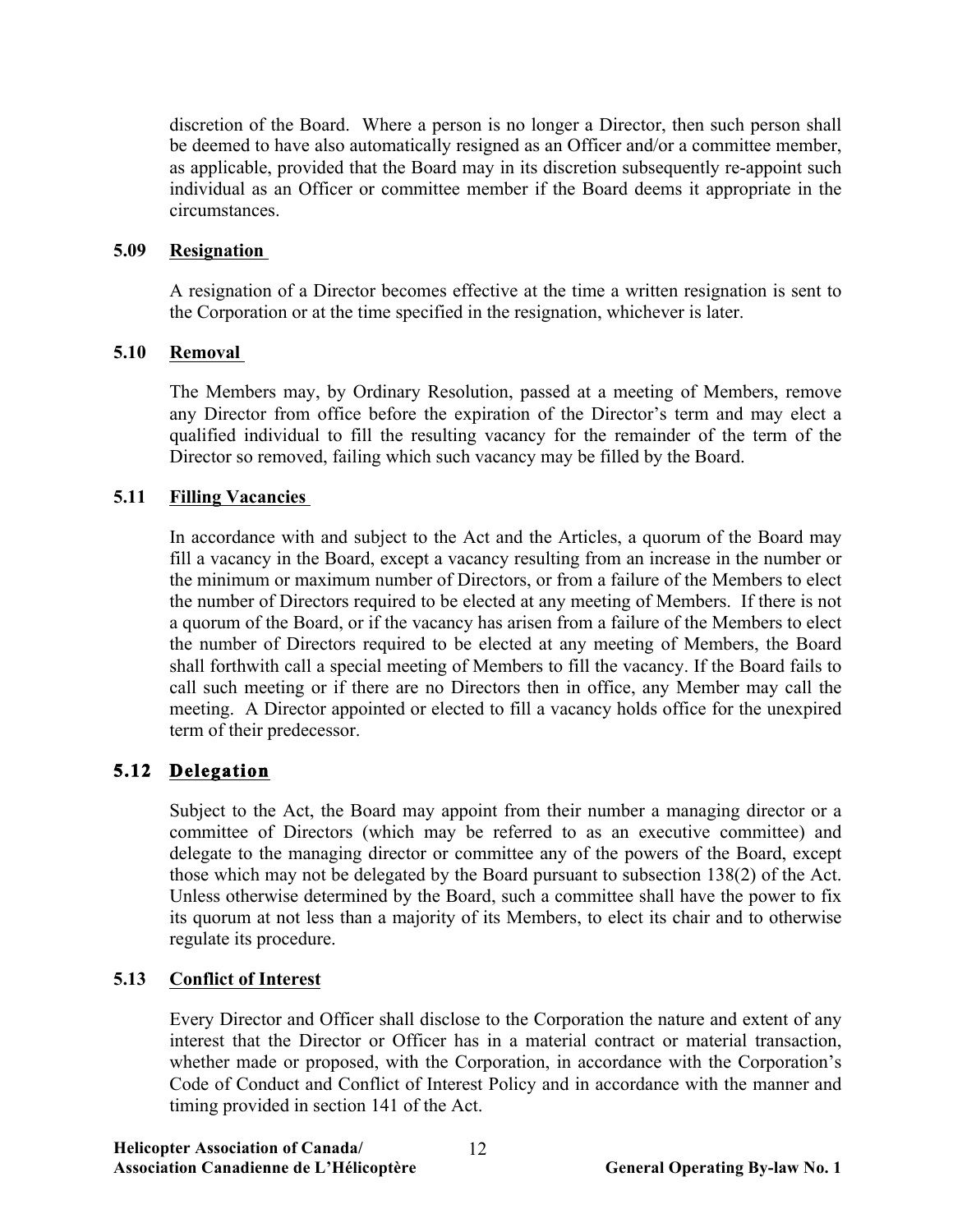discretion of the Board. Where a person is no longer a Director, then such person shall be deemed to have also automatically resigned as an Officer and/or a committee member, as applicable, provided that the Board may in its discretion subsequently re-appoint such individual as an Officer or committee member if the Board deems it appropriate in the circumstances.

## **5.09 Resignation**

A resignation of a Director becomes effective at the time a written resignation is sent to the Corporation or at the time specified in the resignation, whichever is later.

## **5.10 Removal**

The Members may, by Ordinary Resolution, passed at a meeting of Members, remove any Director from office before the expiration of the Director's term and may elect a qualified individual to fill the resulting vacancy for the remainder of the term of the Director so removed, failing which such vacancy may be filled by the Board.

## **5.11 Filling Vacancies**

In accordance with and subject to the Act and the Articles, a quorum of the Board may fill a vacancy in the Board, except a vacancy resulting from an increase in the number or the minimum or maximum number of Directors, or from a failure of the Members to elect the number of Directors required to be elected at any meeting of Members. If there is not a quorum of the Board, or if the vacancy has arisen from a failure of the Members to elect the number of Directors required to be elected at any meeting of Members, the Board shall forthwith call a special meeting of Members to fill the vacancy. If the Board fails to call such meeting or if there are no Directors then in office, any Member may call the meeting. A Director appointed or elected to fill a vacancy holds office for the unexpired term of their predecessor.

## **5.12 Delegation**

Subject to the Act, the Board may appoint from their number a managing director or a committee of Directors (which may be referred to as an executive committee) and delegate to the managing director or committee any of the powers of the Board, except those which may not be delegated by the Board pursuant to subsection 138(2) of the Act. Unless otherwise determined by the Board, such a committee shall have the power to fix its quorum at not less than a majority of its Members, to elect its chair and to otherwise regulate its procedure.

## **5.13 Conflict of Interest**

Every Director and Officer shall disclose to the Corporation the nature and extent of any interest that the Director or Officer has in a material contract or material transaction, whether made or proposed, with the Corporation, in accordance with the Corporation's Code of Conduct and Conflict of Interest Policy and in accordance with the manner and timing provided in section 141 of the Act.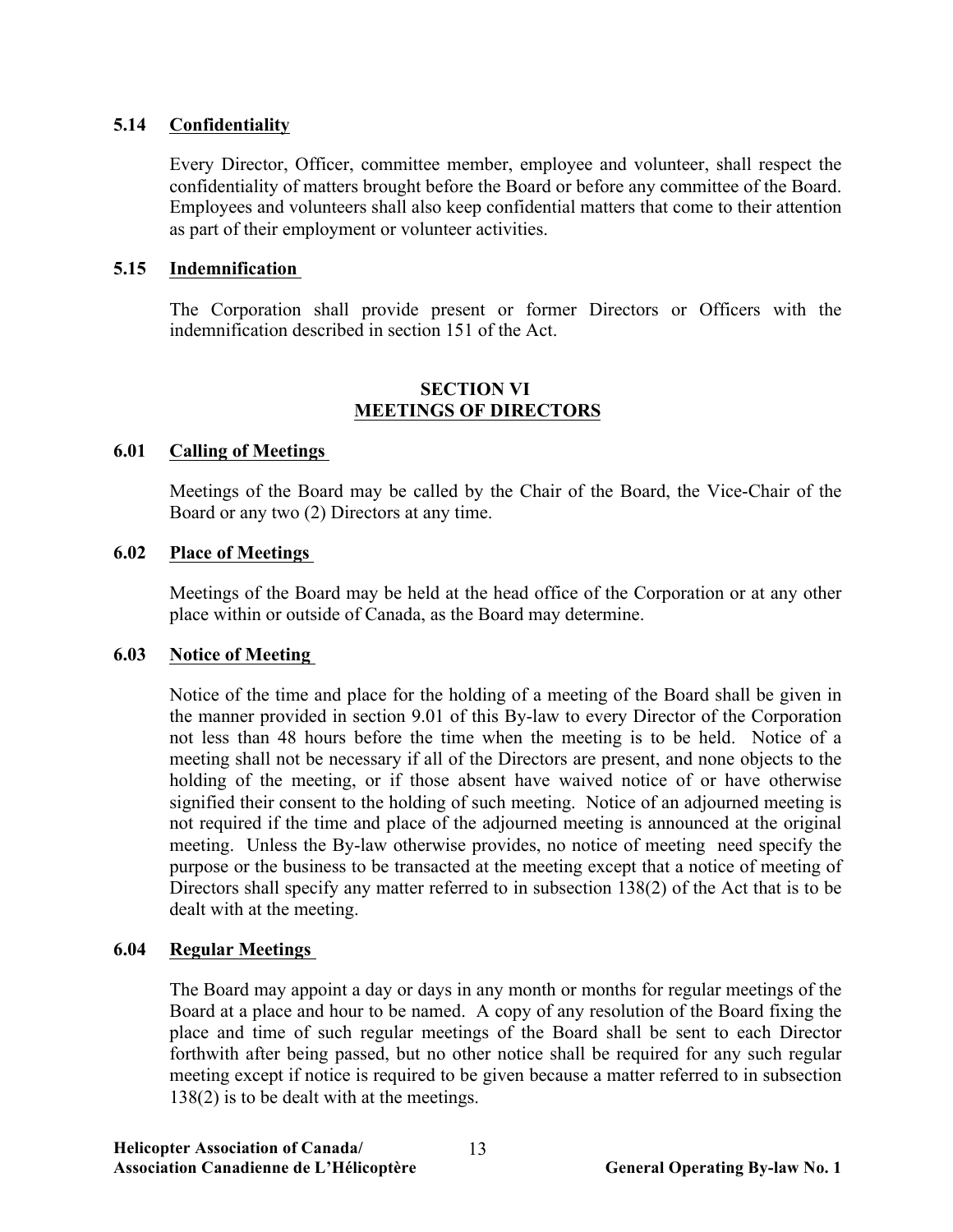# **5.14 Confidentiality**

Every Director, Officer, committee member, employee and volunteer, shall respect the confidentiality of matters brought before the Board or before any committee of the Board. Employees and volunteers shall also keep confidential matters that come to their attention as part of their employment or volunteer activities.

## **5.15 Indemnification**

The Corporation shall provide present or former Directors or Officers with the indemnification described in section 151 of the Act.

## **SECTION VI MEETINGS OF DIRECTORS**

## **6.01 Calling of Meetings**

Meetings of the Board may be called by the Chair of the Board, the Vice-Chair of the Board or any two (2) Directors at any time.

## **6.02 Place of Meetings**

Meetings of the Board may be held at the head office of the Corporation or at any other place within or outside of Canada, as the Board may determine.

#### **6.03 Notice of Meeting**

Notice of the time and place for the holding of a meeting of the Board shall be given in the manner provided in section 9.01 of this By-law to every Director of the Corporation not less than 48 hours before the time when the meeting is to be held. Notice of a meeting shall not be necessary if all of the Directors are present, and none objects to the holding of the meeting, or if those absent have waived notice of or have otherwise signified their consent to the holding of such meeting. Notice of an adjourned meeting is not required if the time and place of the adjourned meeting is announced at the original meeting. Unless the By-law otherwise provides, no notice of meeting need specify the purpose or the business to be transacted at the meeting except that a notice of meeting of Directors shall specify any matter referred to in subsection 138(2) of the Act that is to be dealt with at the meeting.

#### **6.04 Regular Meetings**

The Board may appoint a day or days in any month or months for regular meetings of the Board at a place and hour to be named. A copy of any resolution of the Board fixing the place and time of such regular meetings of the Board shall be sent to each Director forthwith after being passed, but no other notice shall be required for any such regular meeting except if notice is required to be given because a matter referred to in subsection 138(2) is to be dealt with at the meetings.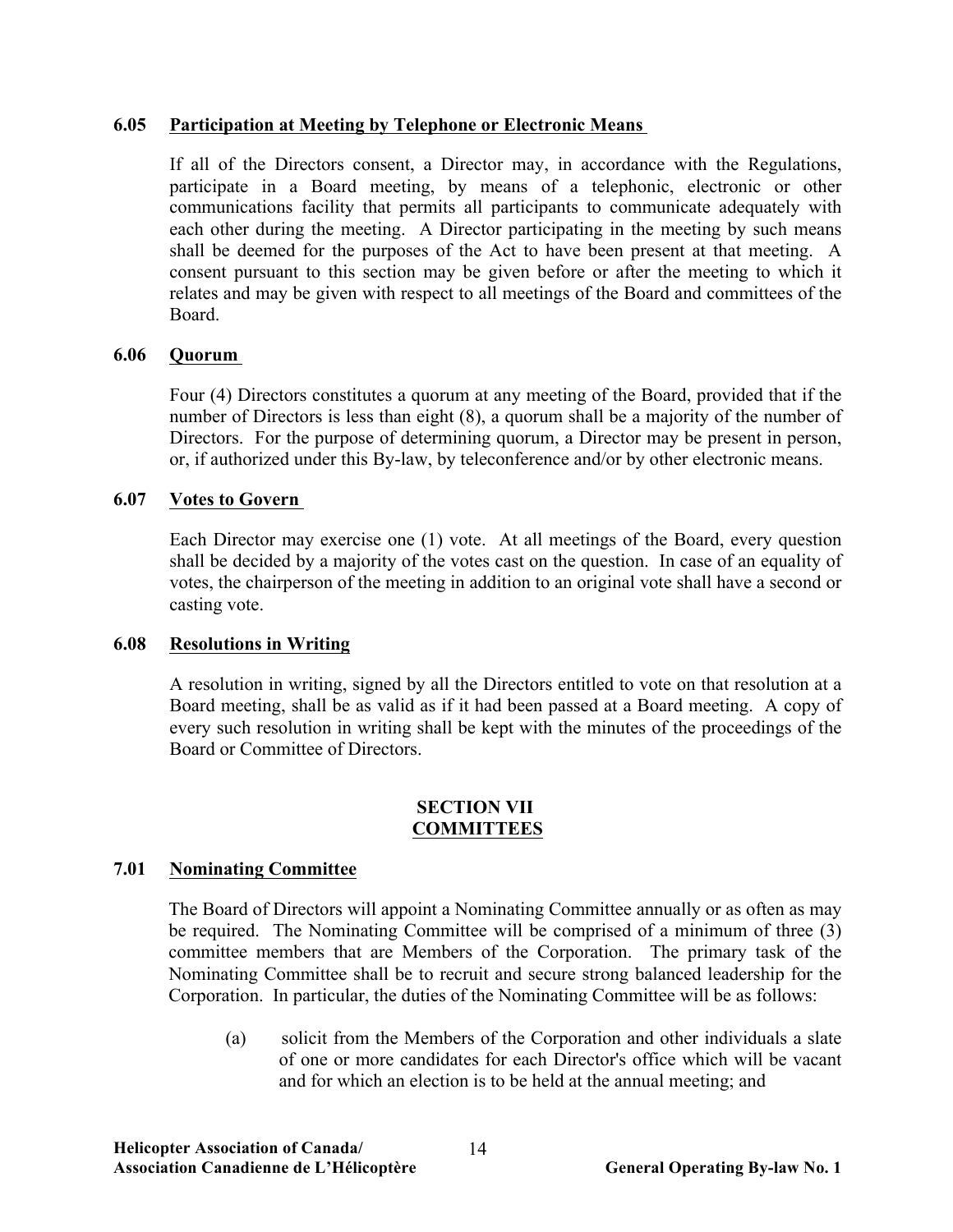## **6.05 Participation at Meeting by Telephone or Electronic Means**

If all of the Directors consent, a Director may, in accordance with the Regulations, participate in a Board meeting, by means of a telephonic, electronic or other communications facility that permits all participants to communicate adequately with each other during the meeting. A Director participating in the meeting by such means shall be deemed for the purposes of the Act to have been present at that meeting. A consent pursuant to this section may be given before or after the meeting to which it relates and may be given with respect to all meetings of the Board and committees of the Board.

## **6.06 Quorum**

Four (4) Directors constitutes a quorum at any meeting of the Board, provided that if the number of Directors is less than eight (8), a quorum shall be a majority of the number of Directors. For the purpose of determining quorum, a Director may be present in person, or, if authorized under this By-law, by teleconference and/or by other electronic means.

## **6.07 Votes to Govern**

Each Director may exercise one (1) vote. At all meetings of the Board, every question shall be decided by a majority of the votes cast on the question. In case of an equality of votes, the chairperson of the meeting in addition to an original vote shall have a second or casting vote.

#### **6.08 Resolutions in Writing**

A resolution in writing, signed by all the Directors entitled to vote on that resolution at a Board meeting, shall be as valid as if it had been passed at a Board meeting. A copy of every such resolution in writing shall be kept with the minutes of the proceedings of the Board or Committee of Directors.

#### **SECTION VII COMMITTEES**

## **7.01 Nominating Committee**

The Board of Directors will appoint a Nominating Committee annually or as often as may be required. The Nominating Committee will be comprised of a minimum of three (3) committee members that are Members of the Corporation. The primary task of the Nominating Committee shall be to recruit and secure strong balanced leadership for the Corporation. In particular, the duties of the Nominating Committee will be as follows:

(a) solicit from the Members of the Corporation and other individuals a slate of one or more candidates for each Director's office which will be vacant and for which an election is to be held at the annual meeting; and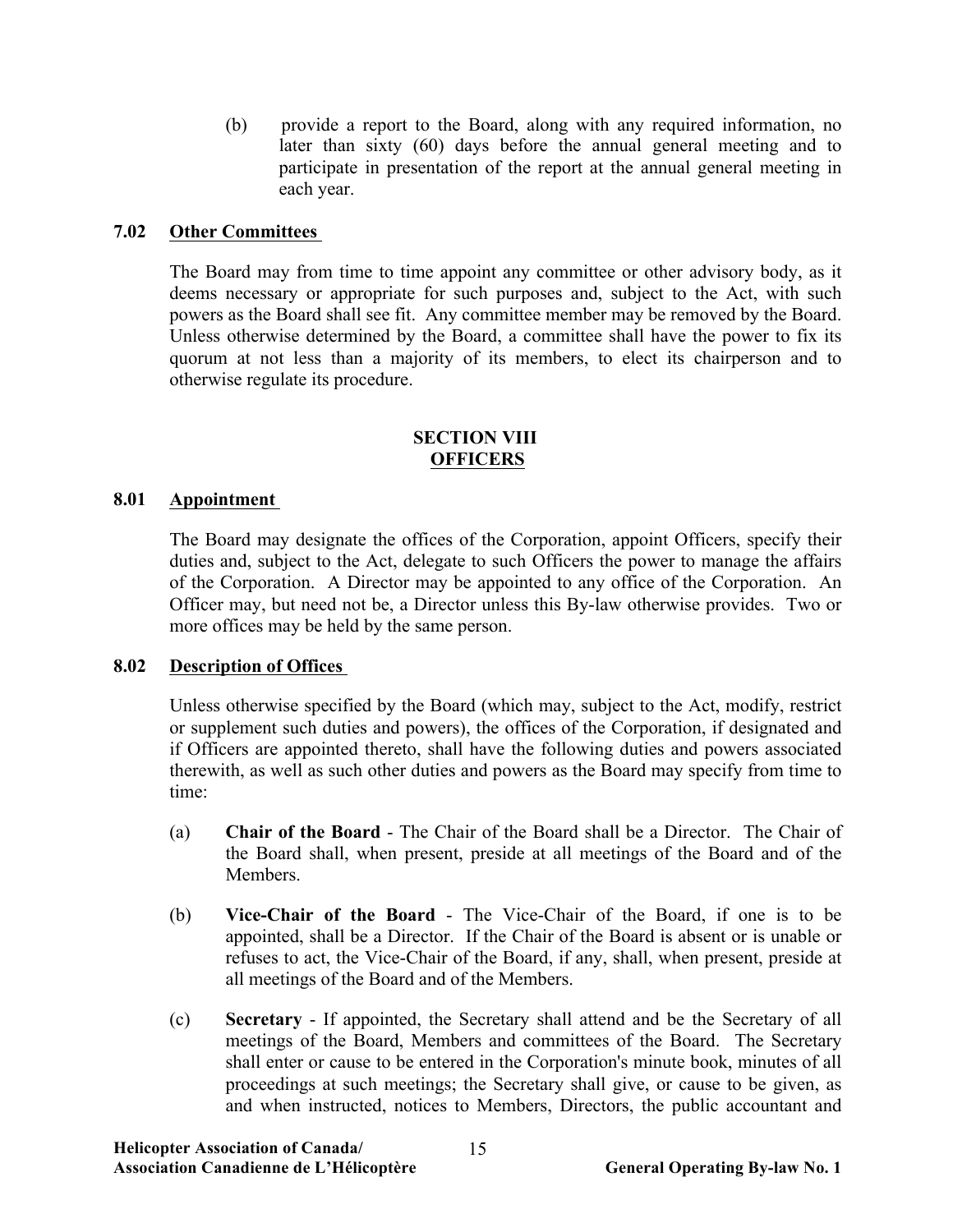(b) provide a report to the Board, along with any required information, no later than sixty (60) days before the annual general meeting and to participate in presentation of the report at the annual general meeting in each year.

## **7.02 Other Committees**

The Board may from time to time appoint any committee or other advisory body, as it deems necessary or appropriate for such purposes and, subject to the Act, with such powers as the Board shall see fit. Any committee member may be removed by the Board. Unless otherwise determined by the Board, a committee shall have the power to fix its quorum at not less than a majority of its members, to elect its chairperson and to otherwise regulate its procedure.

#### **SECTION VIII OFFICERS**

## **8.01 Appointment**

The Board may designate the offices of the Corporation, appoint Officers, specify their duties and, subject to the Act, delegate to such Officers the power to manage the affairs of the Corporation. A Director may be appointed to any office of the Corporation. An Officer may, but need not be, a Director unless this By-law otherwise provides. Two or more offices may be held by the same person.

#### **8.02 Description of Offices**

Unless otherwise specified by the Board (which may, subject to the Act, modify, restrict or supplement such duties and powers), the offices of the Corporation, if designated and if Officers are appointed thereto, shall have the following duties and powers associated therewith, as well as such other duties and powers as the Board may specify from time to time:

- (a) **Chair of the Board** The Chair of the Board shall be a Director. The Chair of the Board shall, when present, preside at all meetings of the Board and of the Members.
- (b) **Vice-Chair of the Board** The Vice-Chair of the Board, if one is to be appointed, shall be a Director. If the Chair of the Board is absent or is unable or refuses to act, the Vice-Chair of the Board, if any, shall, when present, preside at all meetings of the Board and of the Members.
- (c) **Secretary** If appointed, the Secretary shall attend and be the Secretary of all meetings of the Board, Members and committees of the Board. The Secretary shall enter or cause to be entered in the Corporation's minute book, minutes of all proceedings at such meetings; the Secretary shall give, or cause to be given, as and when instructed, notices to Members, Directors, the public accountant and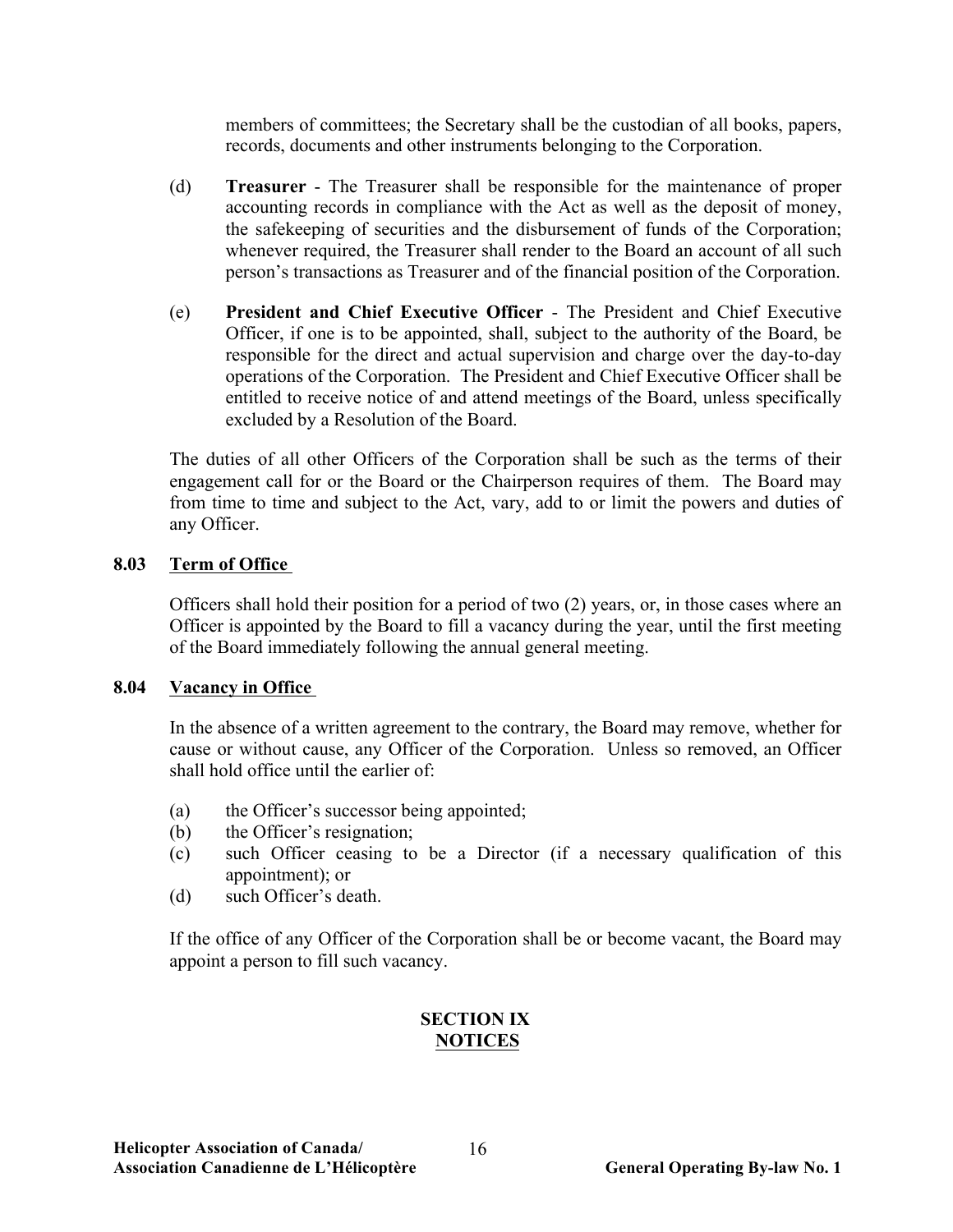members of committees; the Secretary shall be the custodian of all books, papers, records, documents and other instruments belonging to the Corporation.

- (d) **Treasurer** The Treasurer shall be responsible for the maintenance of proper accounting records in compliance with the Act as well as the deposit of money, the safekeeping of securities and the disbursement of funds of the Corporation; whenever required, the Treasurer shall render to the Board an account of all such person's transactions as Treasurer and of the financial position of the Corporation.
- (e) **President and Chief Executive Officer** The President and Chief Executive Officer, if one is to be appointed, shall, subject to the authority of the Board, be responsible for the direct and actual supervision and charge over the day-to-day operations of the Corporation. The President and Chief Executive Officer shall be entitled to receive notice of and attend meetings of the Board, unless specifically excluded by a Resolution of the Board.

The duties of all other Officers of the Corporation shall be such as the terms of their engagement call for or the Board or the Chairperson requires of them. The Board may from time to time and subject to the Act, vary, add to or limit the powers and duties of any Officer.

## **8.03 Term of Office**

Officers shall hold their position for a period of two (2) years, or, in those cases where an Officer is appointed by the Board to fill a vacancy during the year, until the first meeting of the Board immediately following the annual general meeting.

#### **8.04 Vacancy in Office**

In the absence of a written agreement to the contrary, the Board may remove, whether for cause or without cause, any Officer of the Corporation. Unless so removed, an Officer shall hold office until the earlier of:

- (a) the Officer's successor being appointed;
- (b) the Officer's resignation;
- (c) such Officer ceasing to be a Director (if a necessary qualification of this appointment); or
- (d) such Officer's death.

If the office of any Officer of the Corporation shall be or become vacant, the Board may appoint a person to fill such vacancy.

# **SECTION IX NOTICES**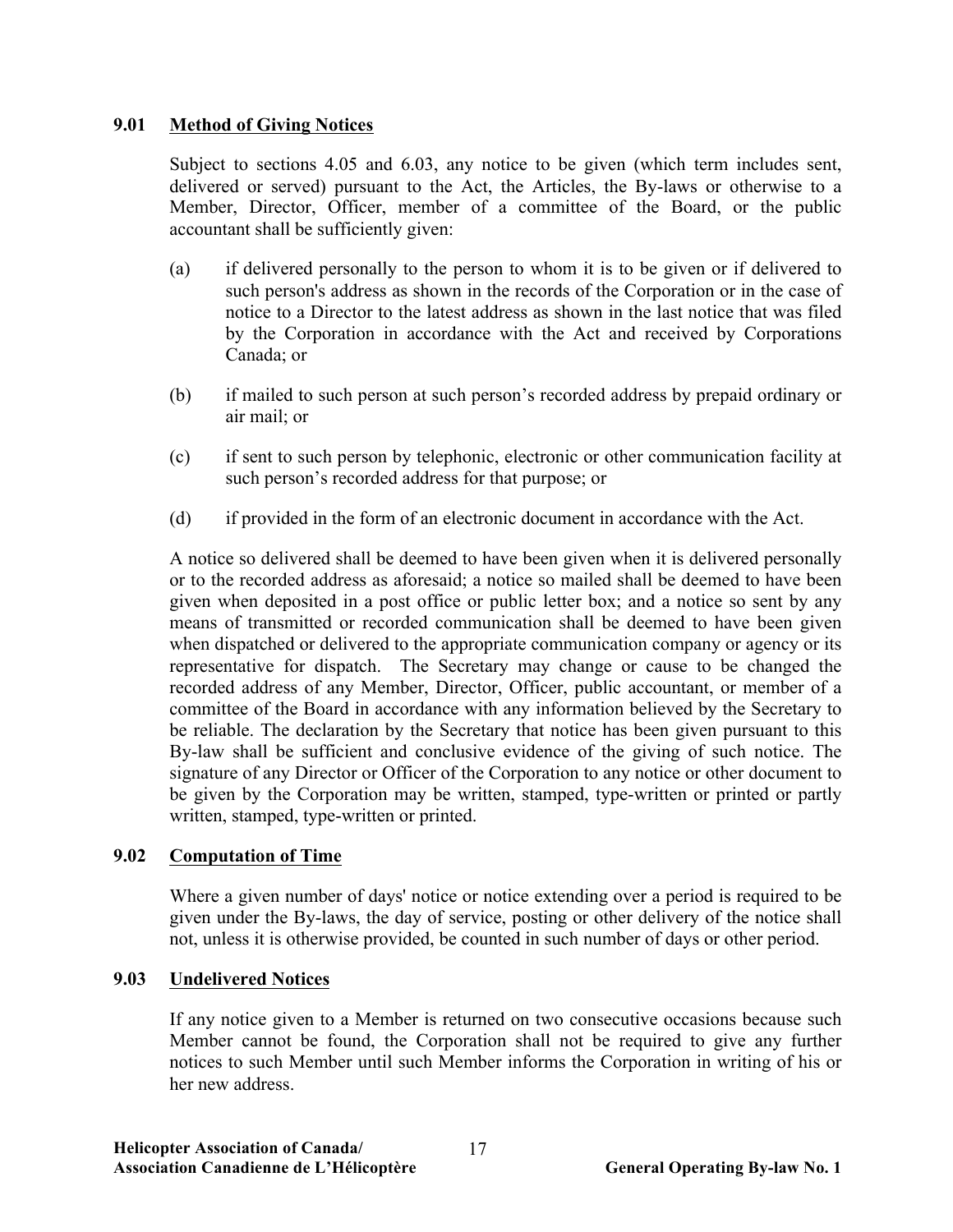## **9.01 Method of Giving Notices**

Subject to sections 4.05 and 6.03, any notice to be given (which term includes sent, delivered or served) pursuant to the Act, the Articles, the By-laws or otherwise to a Member, Director, Officer, member of a committee of the Board, or the public accountant shall be sufficiently given:

- (a) if delivered personally to the person to whom it is to be given or if delivered to such person's address as shown in the records of the Corporation or in the case of notice to a Director to the latest address as shown in the last notice that was filed by the Corporation in accordance with the Act and received by Corporations Canada; or
- (b) if mailed to such person at such person's recorded address by prepaid ordinary or air mail; or
- (c) if sent to such person by telephonic, electronic or other communication facility at such person's recorded address for that purpose; or
- (d) if provided in the form of an electronic document in accordance with the Act.

A notice so delivered shall be deemed to have been given when it is delivered personally or to the recorded address as aforesaid; a notice so mailed shall be deemed to have been given when deposited in a post office or public letter box; and a notice so sent by any means of transmitted or recorded communication shall be deemed to have been given when dispatched or delivered to the appropriate communication company or agency or its representative for dispatch. The Secretary may change or cause to be changed the recorded address of any Member, Director, Officer, public accountant, or member of a committee of the Board in accordance with any information believed by the Secretary to be reliable. The declaration by the Secretary that notice has been given pursuant to this By-law shall be sufficient and conclusive evidence of the giving of such notice. The signature of any Director or Officer of the Corporation to any notice or other document to be given by the Corporation may be written, stamped, type-written or printed or partly written, stamped, type-written or printed.

## **9.02 Computation of Time**

Where a given number of days' notice or notice extending over a period is required to be given under the By-laws, the day of service, posting or other delivery of the notice shall not, unless it is otherwise provided, be counted in such number of days or other period.

## **9.03 Undelivered Notices**

If any notice given to a Member is returned on two consecutive occasions because such Member cannot be found, the Corporation shall not be required to give any further notices to such Member until such Member informs the Corporation in writing of his or her new address.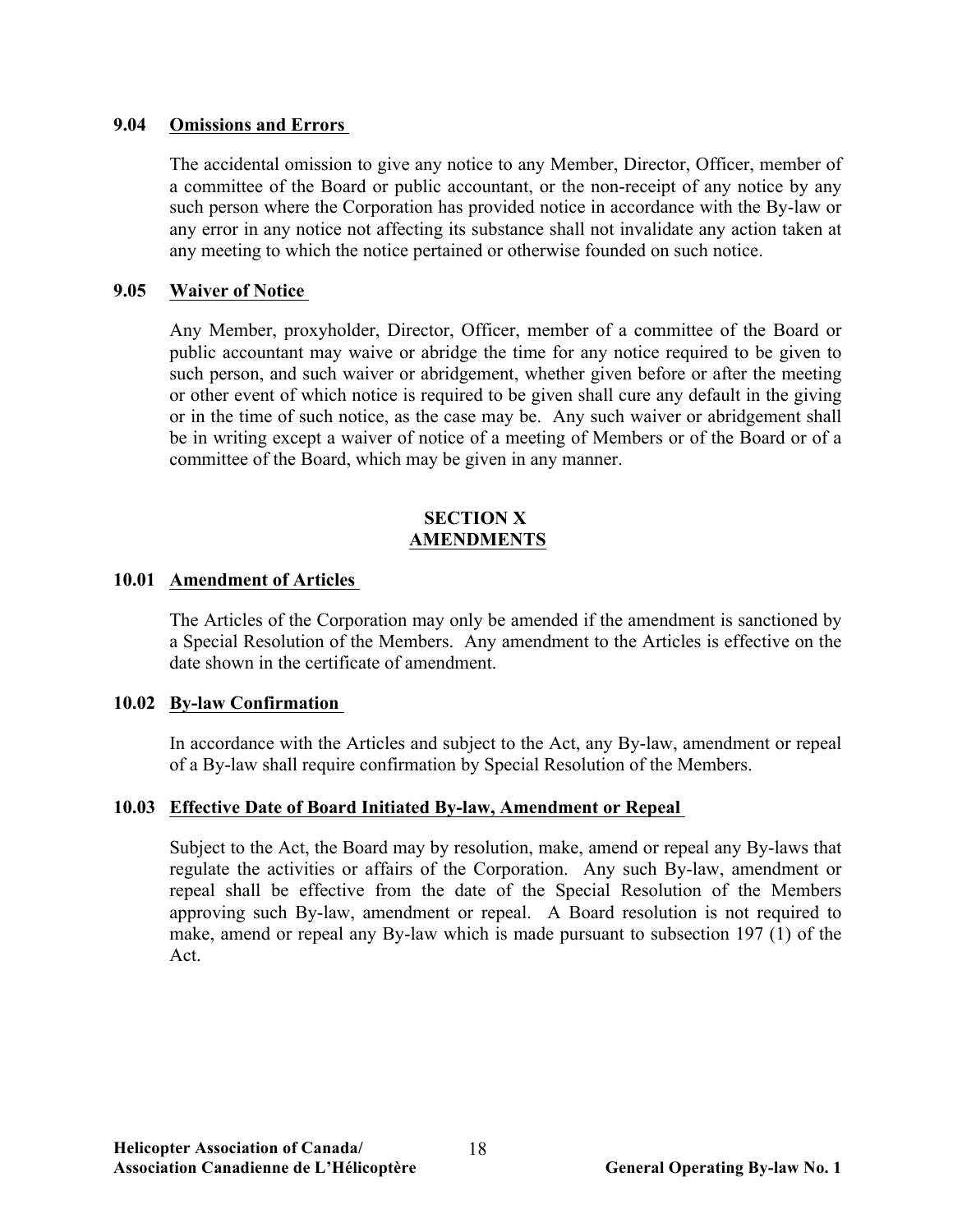#### **9.04 Omissions and Errors**

The accidental omission to give any notice to any Member, Director, Officer, member of a committee of the Board or public accountant, or the non-receipt of any notice by any such person where the Corporation has provided notice in accordance with the By-law or any error in any notice not affecting its substance shall not invalidate any action taken at any meeting to which the notice pertained or otherwise founded on such notice.

## **9.05 Waiver of Notice**

Any Member, proxyholder, Director, Officer, member of a committee of the Board or public accountant may waive or abridge the time for any notice required to be given to such person, and such waiver or abridgement, whether given before or after the meeting or other event of which notice is required to be given shall cure any default in the giving or in the time of such notice, as the case may be. Any such waiver or abridgement shall be in writing except a waiver of notice of a meeting of Members or of the Board or of a committee of the Board, which may be given in any manner.

#### **SECTION X AMENDMENTS**

#### **10.01 Amendment of Articles**

The Articles of the Corporation may only be amended if the amendment is sanctioned by a Special Resolution of the Members. Any amendment to the Articles is effective on the date shown in the certificate of amendment.

#### **10.02 By-law Confirmation**

In accordance with the Articles and subject to the Act, any By-law, amendment or repeal of a By-law shall require confirmation by Special Resolution of the Members.

#### **10.03 Effective Date of Board Initiated By-law, Amendment or Repeal**

Subject to the Act, the Board may by resolution, make, amend or repeal any By-laws that regulate the activities or affairs of the Corporation. Any such By-law, amendment or repeal shall be effective from the date of the Special Resolution of the Members approving such By-law, amendment or repeal. A Board resolution is not required to make, amend or repeal any By-law which is made pursuant to subsection 197 (1) of the Act.